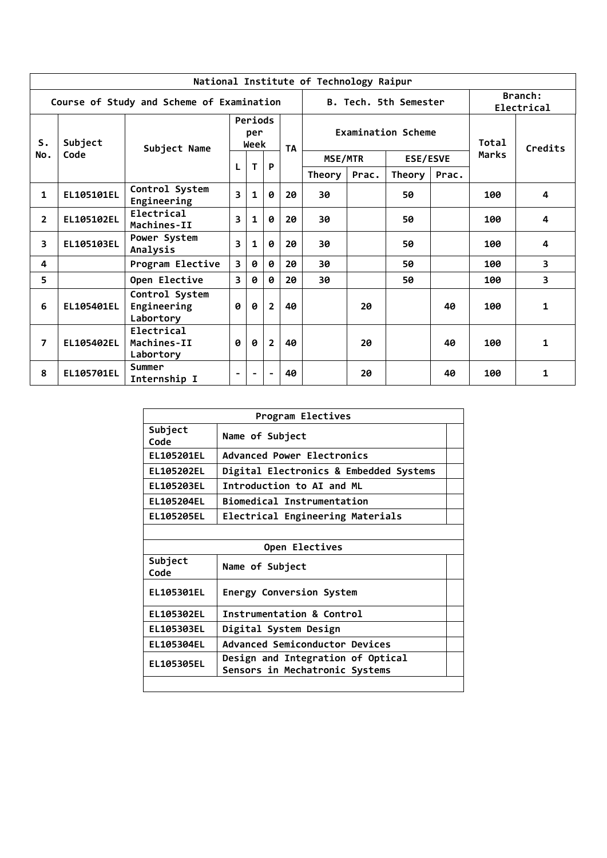|                |            |                                            |                         |                        |                |           | National Institute of Technology Raipur |                           |                       |              |         |                         |  |
|----------------|------------|--------------------------------------------|-------------------------|------------------------|----------------|-----------|-----------------------------------------|---------------------------|-----------------------|--------------|---------|-------------------------|--|
|                |            | Course of Study and Scheme of Examination  |                         |                        |                |           |                                         |                           | B. Tech. 5th Semester |              |         | Branch:<br>Electrical   |  |
| S.             | Subject    | Subject Name                               |                         | Periods<br>per<br>Week |                | <b>TA</b> |                                         | <b>Examination Scheme</b> |                       | <b>Total</b> | Credits |                         |  |
| No.            | Code       |                                            |                         |                        |                |           | <b>ESE/ESVE</b><br>MSE/MTR              |                           |                       |              | Marks   |                         |  |
|                |            |                                            | L                       | т<br>P<br>Theory       |                | Prac.     | Theory                                  | Prac.                     |                       |              |         |                         |  |
| 1              | EL105101EL | Control System<br>Engineering              | $\overline{\mathbf{3}}$ | $\mathbf{1}$           | 0              | 20        | 30                                      |                           | 50                    |              | 100     | 4                       |  |
| $\overline{2}$ | EL105102EL | Electrical<br>Machines-II                  | 3                       | $\mathbf{1}$           | 0              | 20        | 30                                      |                           | 50                    |              | 100     | 4                       |  |
| 3              | EL105103EL | Power System<br>Analysis                   | 3                       | $\mathbf{1}$           | 0              | 20        | 30                                      |                           | 50                    |              | 100     | 4                       |  |
| 4              |            | Program Elective                           | $\overline{\mathbf{3}}$ | 0                      | 0              | 20        | 30                                      |                           | 50                    |              | 100     | $\overline{\mathbf{3}}$ |  |
| 5              |            | Open Elective                              | $\overline{3}$          | 0                      | 0              | 20        | 30                                      |                           | 50                    |              | 100     | 3                       |  |
| 6              | EL105401EL | Control System<br>Engineering<br>Labortory | Ø                       | 0                      | $\overline{2}$ | 40        |                                         | 20                        |                       | 40           | 100     | 1                       |  |
| 7              | EL105402EL | Electrical<br>Machines-II<br>Labortory     | Ø                       | $\boldsymbol{\theta}$  | $\overline{2}$ | 40        |                                         | 20                        |                       | 40           | 100     | $\mathbf{1}$            |  |
| 8              | EL105701EL | Summer<br>Internship I                     |                         |                        |                | 40        |                                         | 20                        |                       | 40           | 100     | $\mathbf{1}$            |  |

|                                                                                   | Program Electives                      |  |  |  |  |  |  |
|-----------------------------------------------------------------------------------|----------------------------------------|--|--|--|--|--|--|
| Subject<br>Code                                                                   | Name of Subject                        |  |  |  |  |  |  |
| EL105201EL                                                                        | Advanced Power Electronics             |  |  |  |  |  |  |
| <b>EL105202EL</b>                                                                 | Digital Electronics & Embedded Systems |  |  |  |  |  |  |
| <b>EL105203EL</b>                                                                 | Introduction to AI and ML              |  |  |  |  |  |  |
| Biomedical Instrumentation<br><b>EL105204EL</b>                                   |                                        |  |  |  |  |  |  |
| Electrical Engineering Materials<br>EL105205EL                                    |                                        |  |  |  |  |  |  |
|                                                                                   |                                        |  |  |  |  |  |  |
| Open Electives                                                                    |                                        |  |  |  |  |  |  |
| Subject<br>Code                                                                   | Name of Subject                        |  |  |  |  |  |  |
| EL105301EL                                                                        | <b>Energy Conversion System</b>        |  |  |  |  |  |  |
| EL105302EL                                                                        | Instrumentation & Control              |  |  |  |  |  |  |
| EL105303EL                                                                        | Digital System Design                  |  |  |  |  |  |  |
| <b>EL105304EL</b>                                                                 | <b>Advanced Semiconductor Devices</b>  |  |  |  |  |  |  |
| Design and Integration of Optical<br>EL105305EL<br>Sensors in Mechatronic Systems |                                        |  |  |  |  |  |  |
|                                                                                   |                                        |  |  |  |  |  |  |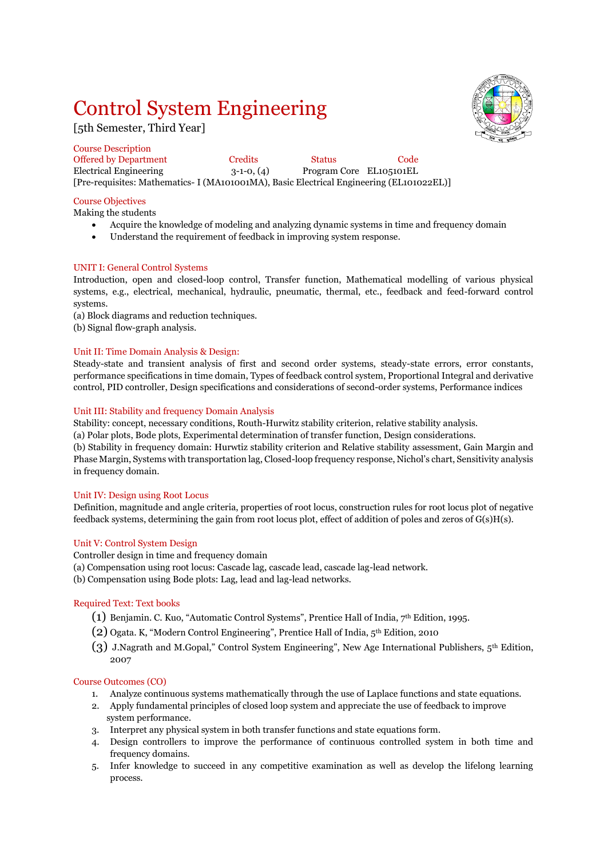# Control System Engineering

[5th Semester, Third Year]



Course Description Offered by Department Credits Status Code Electrical Engineering 3-1-0, (4) Program Core EL105101EL [Pre-requisites: Mathematics- I (MA101001MA), Basic Electrical Engineering (EL101022EL)]

#### Course Objectives

Making the students

- Acquire the knowledge of modeling and analyzing dynamic systems in time and frequency domain
- Understand the requirement of feedback in improving system response.

#### UNIT I: General Control Systems

Introduction, open and closed-loop control, Transfer function, Mathematical modelling of various physical systems, e.g., electrical, mechanical, hydraulic, pneumatic, thermal, etc., feedback and feed-forward control systems.

(a) Block diagrams and reduction techniques.

(b) Signal flow-graph analysis.

#### Unit II: Time Domain Analysis & Design:

Steady-state and transient analysis of first and second order systems, steady-state errors, error constants, performance specifications in time domain, Types of feedback control system, Proportional Integral and derivative control, PID controller, Design specifications and considerations of second-order systems, Performance indices

#### Unit III: Stability and frequency Domain Analysis

Stability: concept, necessary conditions, Routh-Hurwitz stability criterion, relative stability analysis.

(a) Polar plots, Bode plots, Experimental determination of transfer function, Design considerations.

(b) Stability in frequency domain: Hurwtiz stability criterion and Relative stability assessment, Gain Margin and Phase Margin, Systems with transportation lag, Closed-loop frequency response, Nichol's chart, Sensitivity analysis in frequency domain.

#### Unit IV: Design using Root Locus

Definition, magnitude and angle criteria, properties of root locus, construction rules for root locus plot of negative feedback systems, determining the gain from root locus plot, effect of addition of poles and zeros of G(s)H(s).

#### Unit V: Control System Design

Controller design in time and frequency domain

- (a) Compensation using root locus: Cascade lag, cascade lead, cascade lag-lead network.
- (b) Compensation using Bode plots: Lag, lead and lag-lead networks.

#### Required Text: Text books

- (1) Benjamin. C. Kuo, "Automatic Control Systems", Prentice Hall of India,  $7<sup>th</sup>$  Edition, 1995.
- (2) Ogata. K, "Modern Control Engineering", Prentice Hall of India, 5th Edition, 2010
- (3) J.Nagrath and M.Gopal," Control System Engineering", New Age International Publishers, 5th Edition, 2007

#### Course Outcomes (CO)

- 1. Analyze continuous systems mathematically through the use of Laplace functions and state equations.
- 2. Apply fundamental principles of closed loop system and appreciate the use of feedback to improve system performance.
- 3. Interpret any physical system in both transfer functions and state equations form.
- 4. Design controllers to improve the performance of continuous controlled system in both time and frequency domains.
- 5. Infer knowledge to succeed in any competitive examination as well as develop the lifelong learning process.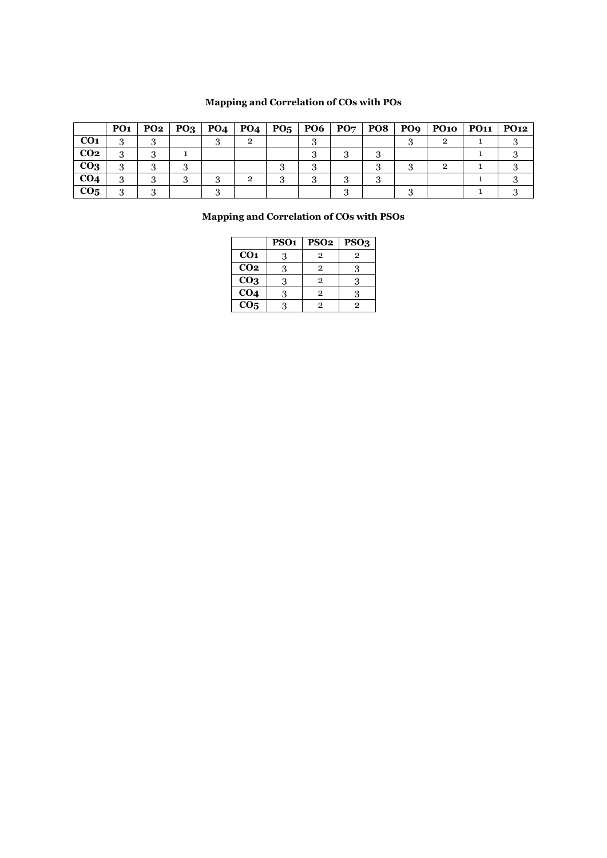## **Mapping and Correlation of COs with POs**

|                 | <b>PO1</b> | PO2 |  | $PQ3   PQ4   PQ4   PQ5   PQ6   PQ7   PQ8$ |  |  | PO9   PO10   PO11   PO12 |  |
|-----------------|------------|-----|--|-------------------------------------------|--|--|--------------------------|--|
| CO <sub>1</sub> |            |     |  |                                           |  |  |                          |  |
| CO <sub>2</sub> |            |     |  |                                           |  |  |                          |  |
| CO <sub>3</sub> |            |     |  |                                           |  |  |                          |  |
| CO <sub>4</sub> |            |     |  | റ                                         |  |  |                          |  |
| CO <sub>5</sub> |            |     |  |                                           |  |  |                          |  |

### **Mapping and Correlation of COs with PSOs**

|                   | <b>PSO1</b> | <b>PSO2</b>    | PSO <sub>3</sub> |
|-------------------|-------------|----------------|------------------|
| CO <sub>1</sub>   | 3           | $\overline{2}$ | 2                |
| CO <sub>2</sub>   | 3           | $\mathbf{2}$   |                  |
| CO <sub>3</sub>   | 3           | $\overline{2}$ | К                |
| CO <sub>4</sub>   | 3           | $\overline{2}$ | З                |
| $\overline{CO_5}$ | ર           | 2              | 2                |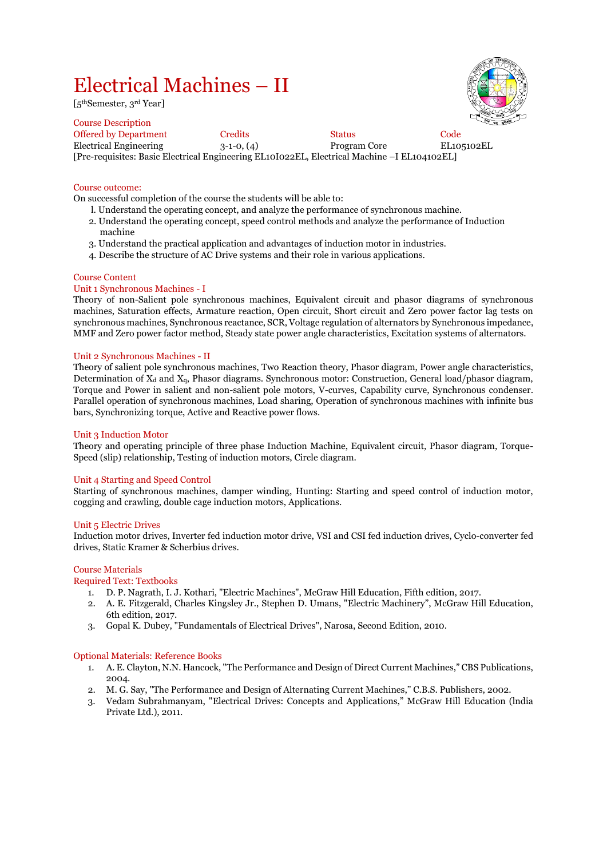# Electrical Machines – II

[5thSemester, 3rd Year]



Course Description Offered by Department Credits Code Status Code Electrical Engineering 3-1-0, (4) Program Core EL105102EL [Pre-requisites: Basic Electrical Engineering EL10I022EL, Electrical Machine –I EL104102EL]

#### Course outcome:

On successful completion of the course the students will be able to:

- l. Understand the operating concept, and analyze the performance of synchronous machine.
- 2. Understand the operating concept, speed control methods and analyze the performance of Induction machine
- 3. Understand the practical application and advantages of induction motor in industries.
- 4. Describe the structure of AC Drive systems and their role in various applications.

#### Course Content

#### Unit 1 Synchronous Machines - I

Theory of non-Salient pole synchronous machines, Equivalent circuit and phasor diagrams of synchronous machines, Saturation effects, Armature reaction, Open circuit, Short circuit and Zero power factor lag tests on synchronous machines, Synchronous reactance, SCR, Voltage regulation of alternators by Synchronous impedance, MMF and Zero power factor method, Steady state power angle characteristics, Excitation systems of alternators.

#### Unit 2 Synchronous Machines - II

Theory of salient pole synchronous machines, Two Reaction theory, Phasor diagram, Power angle characteristics, Determination of  $X_d$  and  $X_q$ , Phasor diagrams. Synchronous motor: Construction, General load/phasor diagram, Torque and Power in salient and non-salient pole motors, V-curves, Capability curve, Synchronous condenser. Parallel operation of synchronous machines, Load sharing, Operation of synchronous machines with infinite bus bars, Synchronizing torque, Active and Reactive power flows.

#### Unit 3 Induction Motor

Theory and operating principle of three phase Induction Machine, Equivalent circuit, Phasor diagram, Torque-Speed (slip) relationship, Testing of induction motors, Circle diagram.

#### Unit 4 Starting and Speed Control

Starting of synchronous machines, damper winding, Hunting: Starting and speed control of induction motor, cogging and crawling, double cage induction motors, Applications.

#### Unit 5 Electric Drives

Induction motor drives, Inverter fed induction motor drive, VSI and CSI fed induction drives, Cyclo-converter fed drives, Static Kramer & Scherbius drives.

#### Course Materials

#### Required Text: Textbooks

- 1. D. P. Nagrath, I. J. Kothari, "Electric Machines", McGraw Hill Education, Fifth edition, 2017.
- 2. A. E. Fitzgerald, Charles Kingsley Jr., Stephen D. Umans, "Electric Machinery", McGraw Hill Education, 6th edition, 2017.
- 3. Gopal K. Dubey, "Fundamentals of Electrical Drives", Narosa, Second Edition, 2010.

#### Optional Materials: Reference Books

- 1. A. E. Clayton, N.N. Hancock, "The Performance and Design of Direct Current Machines," CBS Publications, 2004.
- 2. M. G. Say, "The Performance and Design of Alternating Current Machines," C.B.S. Publishers, 2002.
- 3. Vedam Subrahmanyam, "Electrical Drives: Concepts and Applications," McGraw Hill Education (lndia Private Ltd.), 2011.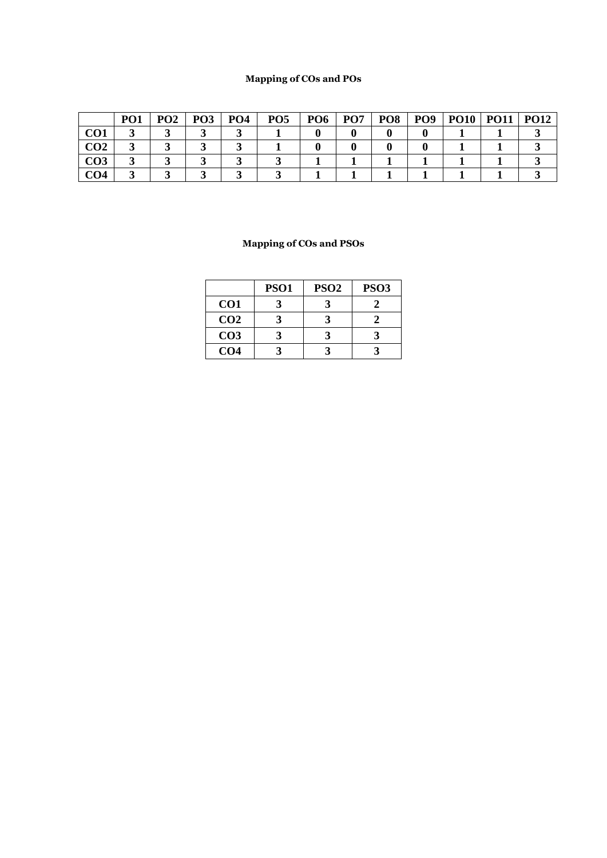## **Mapping of COs and POs**

|                 | PO <sub>1</sub> | PO <sub>2</sub> | PO <sub>3</sub> | PO <sub>4</sub> | PO <sub>5</sub> | PO <sub>6</sub> | PO <sub>7</sub> | PO <sub>8</sub> | PO <sub>9</sub> | <b>PO10</b> | <b>PO11</b> | <b>PO12</b> |
|-----------------|-----------------|-----------------|-----------------|-----------------|-----------------|-----------------|-----------------|-----------------|-----------------|-------------|-------------|-------------|
| CO1             |                 |                 |                 |                 |                 |                 |                 |                 |                 |             |             |             |
| CO <sub>2</sub> |                 |                 |                 |                 |                 |                 |                 |                 |                 |             |             |             |
| CO3             |                 |                 |                 |                 |                 |                 |                 |                 |                 |             |             |             |
| CO4             |                 |                 |                 |                 |                 |                 |                 |                 |                 |             |             |             |

|                 | <b>PSO1</b> | PSO <sub>2</sub> | <b>PSO3</b> |
|-----------------|-------------|------------------|-------------|
| CO <sub>1</sub> |             |                  |             |
| CO <sub>2</sub> |             |                  |             |
| CO <sub>3</sub> |             |                  |             |
| CO <sub>4</sub> |             |                  |             |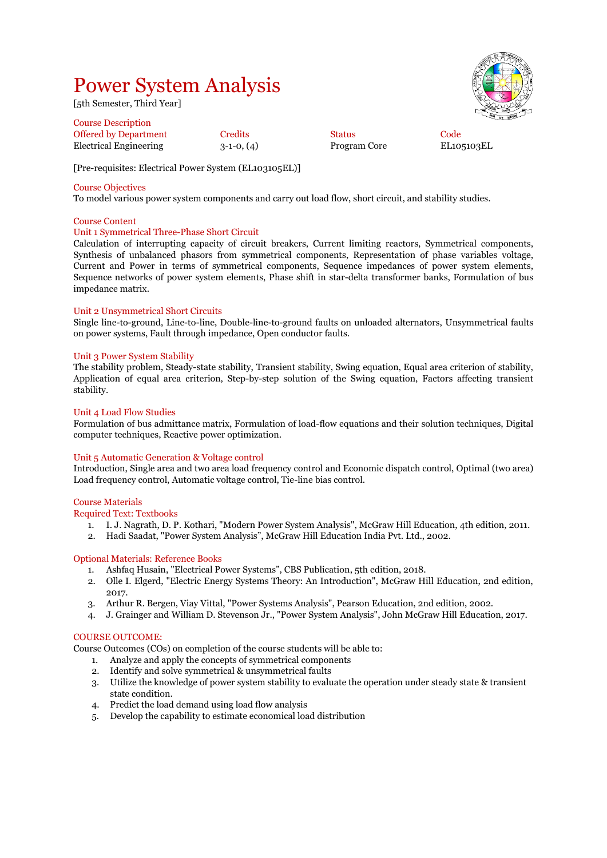## Power System Analysis

[5th Semester, Third Year]

| 1500<br>£. | Area R |
|------------|--------|
| s<br>¢,    | 룁      |
|            |        |
| ūv         |        |
|            |        |

OF TECHNOL

| <b>Course Description</b>    |              |               |      |
|------------------------------|--------------|---------------|------|
| <b>Offered by Department</b> | Credits      | <b>Status</b> | Code |
| Electrical Engineering       | $3-1-0, (4)$ | Program Core  | EL10 |

 $3-1-0$ ,  $(4)$  Program Core EL105103EL

[Pre-requisites: Electrical Power System (EL103105EL)]

#### Course Objectives

To model various power system components and carry out load flow, short circuit, and stability studies.

#### Course Content

#### Unit 1 Symmetrical Three-Phase Short Circuit

Calculation of interrupting capacity of circuit breakers, Current limiting reactors, Symmetrical components, Synthesis of unbalanced phasors from symmetrical components, Representation of phase variables voltage, Current and Power in terms of symmetrical components, Sequence impedances of power system elements, Sequence networks of power system elements, Phase shift in star-delta transformer banks, Formulation of bus impedance matrix.

#### Unit 2 Unsymmetrical Short Circuits

Single line-to-ground, Line-to-line, Double-line-to-ground faults on unloaded alternators, Unsymmetrical faults on power systems, Fault through impedance, Open conductor faults.

#### Unit 3 Power System Stability

The stability problem, Steady-state stability, Transient stability, Swing equation, Equal area criterion of stability, Application of equal area criterion, Step-by-step solution of the Swing equation, Factors affecting transient stability.

#### Unit 4 Load Flow Studies

Formulation of bus admittance matrix, Formulation of load-flow equations and their solution techniques, Digital computer techniques, Reactive power optimization.

#### Unit 5 Automatic Generation & Voltage control

Introduction, Single area and two area load frequency control and Economic dispatch control, Optimal (two area) Load frequency control, Automatic voltage control, Tie-line bias control.

#### Course Materials

Required Text: Textbooks

- 1. I. J. Nagrath, D. P. Kothari, "Modern Power System Analysis", McGraw Hill Education, 4th edition, 2011.
- 2. Hadi Saadat, "Power System Analysis", McGraw Hill Education India Pvt. Ltd., 2002.

#### Optional Materials: Reference Books

- 1. Ashfaq Husain, "Electrical Power Systems", CBS Publication, 5th edition, 2018.
- 2. Olle I. Elgerd, "Electric Energy Systems Theory: An Introduction", McGraw Hill Education, 2nd edition, 2017.
- 3. Arthur R. Bergen, Viay Vittal, "Power Systems Analysis", Pearson Education, 2nd edition, 2002.
- 4. J. Grainger and William D. Stevenson Jr., "Power System Analysis", John McGraw Hill Education, 2017.

#### COURSE OUTCOME:

Course Outcomes (COs) on completion of the course students will be able to:

- 1. Analyze and apply the concepts of symmetrical components
- 2. Identify and solve symmetrical & unsymmetrical faults
- 3. Utilize the knowledge of power system stability to evaluate the operation under steady state & transient state condition.
- 4. Predict the load demand using load flow analysis
- 5. Develop the capability to estimate economical load distribution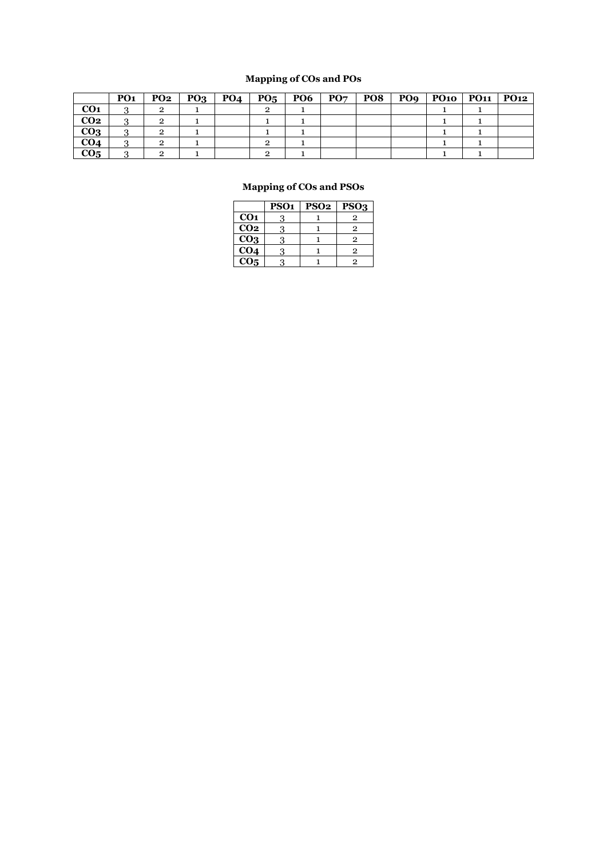## **Mapping of COs and POs**

|                 | PO <sub>1</sub> | PO2 | PQ <sub>3</sub> | PO <sub>4</sub> | $PO5$   PO6 | $\mathbf{PO}\mathbf{7}$ | PO8 | PO <sub>9</sub> | $PO10$ $PO11$ | PO12 |
|-----------------|-----------------|-----|-----------------|-----------------|-------------|-------------------------|-----|-----------------|---------------|------|
| CO <sub>1</sub> |                 | 2   |                 |                 |             |                         |     |                 |               |      |
| CO <sub>2</sub> |                 |     |                 |                 |             |                         |     |                 |               |      |
| CO <sub>3</sub> |                 |     |                 |                 |             |                         |     |                 |               |      |
| CO <sub>4</sub> |                 |     |                 |                 |             |                         |     |                 |               |      |
| CO <sub>5</sub> |                 |     |                 |                 |             |                         |     |                 |               |      |

|                   | <b>PSO1</b> | <b>PSO2</b> | PSO <sub>3</sub> |
|-------------------|-------------|-------------|------------------|
| CO <sub>1</sub>   | 3           |             | 2                |
| CO <sub>2</sub>   | 3           |             | 2                |
| CO <sub>3</sub>   | 3           |             | 9                |
| $\overline{CO_4}$ |             |             | 9                |
| $\overline{CO}$ 5 |             |             | 9                |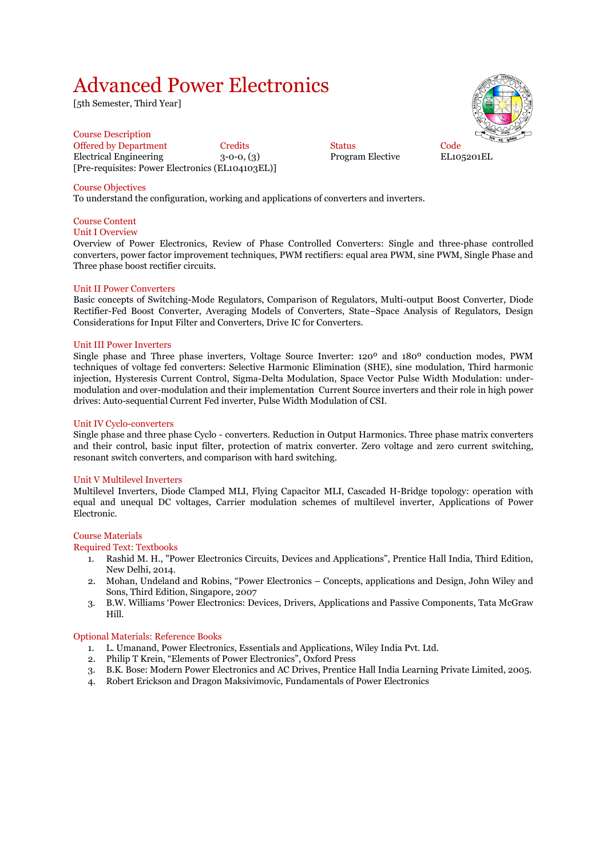## Advanced Power Electronics

[5th Semester, Third Year]

Course Description Offered by Department Credits Status Code Electrical Engineering 3-0-0, (3) Program Elective EL105201EL [Pre-requisites: Power Electronics (EL104103EL)]

#### Course Objectives

To understand the configuration, working and applications of converters and inverters.

#### Course Content Unit I Overview

Overview of Power Electronics, Review of Phase Controlled Converters: Single and three-phase controlled converters, power factor improvement techniques, PWM rectifiers: equal area PWM, sine PWM, Single Phase and Three phase boost rectifier circuits.

#### Unit II Power Converters

Basic concepts of Switching-Mode Regulators, Comparison of Regulators, Multi-output Boost Converter, Diode Rectifier-Fed Boost Converter, Averaging Models of Converters, State–Space Analysis of Regulators, Design Considerations for Input Filter and Converters, Drive IC for Converters.

#### Unit III Power Inverters

Single phase and Three phase inverters, Voltage Source Inverter: 120º and 180º conduction modes, PWM techniques of voltage fed converters: Selective Harmonic Elimination (SHE), sine modulation, Third harmonic injection, Hysteresis Current Control, Sigma-Delta Modulation, Space Vector Pulse Width Modulation: undermodulation and over-modulation and their implementation Current Source inverters and their role in high power drives: Auto-sequential Current Fed inverter, Pulse Width Modulation of CSI.

#### Unit IV Cyclo-converters

Single phase and three phase Cyclo - converters. Reduction in Output Harmonics. Three phase matrix converters and their control, basic input filter, protection of matrix converter. Zero voltage and zero current switching, resonant switch converters, and comparison with hard switching.

#### Unit V Multilevel Inverters

Multilevel Inverters, Diode Clamped MLI, Flying Capacitor MLI, Cascaded H-Bridge topology: operation with equal and unequal DC voltages, Carrier modulation schemes of multilevel inverter, Applications of Power Electronic.

#### Course Materials

#### Required Text: Textbooks

- 1. Rashid M. H., "Power Electronics Circuits, Devices and Applications", Prentice Hall India, Third Edition, New Delhi, 2014.
- 2. Mohan, Undeland and Robins, "Power Electronics Concepts, applications and Design, John Wiley and Sons, Third Edition, Singapore, 2007
- 3. B.W. Williams 'Power Electronics: Devices, Drivers, Applications and Passive Components, Tata McGraw Hill.

#### Optional Materials: Reference Books

- 1. L. Umanand, Power Electronics, Essentials and Applications, Wiley India Pvt. Ltd.
- 2. Philip T Krein, "Elements of Power Electronics", Oxford Press
- 3. B.K. Bose: Modern Power Electronics and AC Drives, Prentice Hall India Learning Private Limited, 2005.
- 4. Robert Erickson and Dragon Maksivimovic, Fundamentals of Power Electronics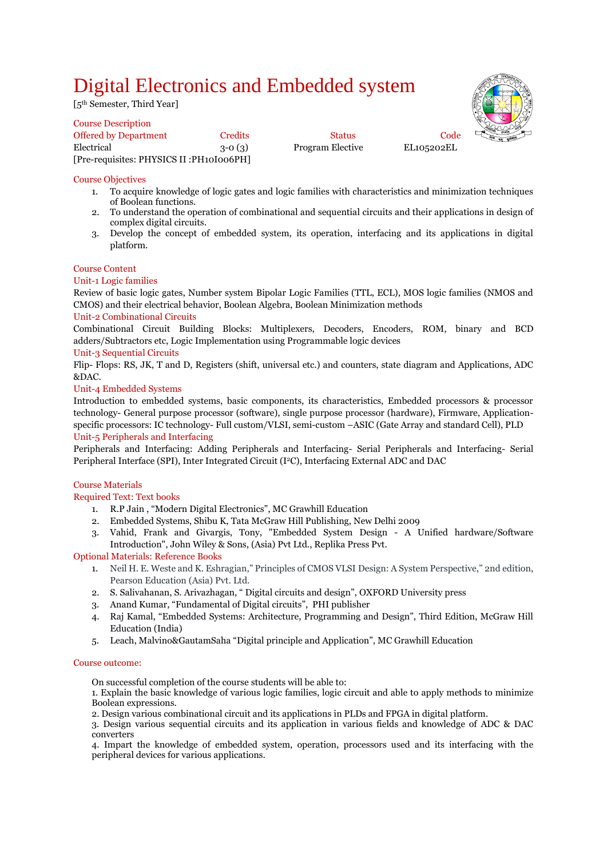## Digital Electronics and Embedded system

[5<sup>th</sup> Semester, Third Year]

Course Description Offered by Department Credits Code Status Code Electrical 3-0 (3) Program Elective EL105202EL [Pre-requisites: PHYSICS II :PH10I006PH]



#### Course Objectives

- 1. To acquire knowledge of logic gates and logic families with characteristics and minimization techniques of Boolean functions.
- 2. To understand the operation of combinational and sequential circuits and their applications in design of complex digital circuits.
- 3. Develop the concept of embedded system, its operation, interfacing and its applications in digital platform.

#### Course Content

#### Unit-1 Logic families

Review of basic logic gates, Number system Bipolar Logic Families (TTL, ECL), MOS logic families (NMOS and CMOS) and their electrical behavior, Boolean Algebra, Boolean Minimization methods

#### Unit-2 Combinational Circuits

Combinational Circuit Building Blocks: Multiplexers, Decoders, Encoders, ROM, binary and BCD adders/Subtractors etc, Logic Implementation using Programmable logic devices

#### Unit-3 Sequential Circuits

Flip- Flops: RS, JK, T and D, Registers (shift, universal etc.) and counters, state diagram and Applications, ADC &DAC.

#### Unit-4 Embedded Systems

Introduction to embedded systems, basic components, its characteristics, Embedded processors & processor technology- General purpose processor (software), single purpose processor (hardware), Firmware, Applicationspecific processors: IC technology- Full custom/VLSI, semi-custom –ASIC (Gate Array and standard Cell), PLD

#### Unit-5 Peripherals and Interfacing

Peripherals and Interfacing: Adding Peripherals and Interfacing- Serial Peripherals and Interfacing- Serial Peripheral Interface (SPI), Inter Integrated Circuit (I<sup>2</sup>C), Interfacing External ADC and DAC

#### Course Materials

Required Text: Text books

- 1. R.P Jain , "Modern Digital Electronics", MC Grawhill Education
- 2. Embedded Systems, Shibu K, Tata McGraw Hill Publishing, New Delhi 2009
- 3. Vahid, Frank and Givargis, Tony, "Embedded System Design A Unified hardware/Software Introduction", John Wiley & Sons, (Asia) Pvt Ltd., Replika Press Pvt.

#### Optional Materials: Reference Books

- 1. Neil H. E. Weste and K. Eshragian," Principles of CMOS VLSI Design: A System Perspective," 2nd edition, Pearson Education (Asia) Pvt. Ltd.
- 2. S. Salivahanan, S. Arivazhagan, " Digital circuits and design", OXFORD University press
- 3. Anand Kumar, "Fundamental of Digital circuits", PHI publisher
- 4. Raj Kamal, "Embedded Systems: Architecture, Programming and Design", Third Edition, McGraw Hill Education (India)
- 5. Leach, Malvino&GautamSaha "Digital principle and Application", MC Grawhill Education

#### Course outcome:

On successful completion of the course students will be able to:

1. Explain the basic knowledge of various logic families, logic circuit and able to apply methods to minimize Boolean expressions.

2. Design various combinational circuit and its applications in PLDs and FPGA in digital platform.

3. Design various sequential circuits and its application in various fields and knowledge of ADC & DAC converters

4. Impart the knowledge of embedded system, operation, processors used and its interfacing with the peripheral devices for various applications.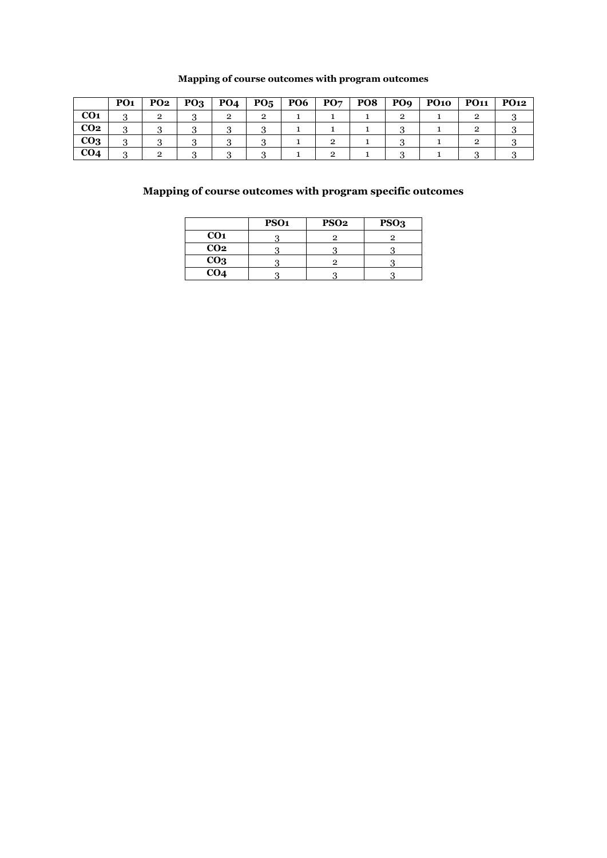## **Mapping of course outcomes with program outcomes**

|                 | PO <sub>1</sub> | <b>PO2</b> | PQ <sub>3</sub> | PO <sub>4</sub> | $P_{05}$ | PO <sub>6</sub> | PO7 | PO <sub>8</sub> | PO <sub>9</sub> | <b>PO10</b> | <b>PO11</b> | <b>PO12</b> |
|-----------------|-----------------|------------|-----------------|-----------------|----------|-----------------|-----|-----------------|-----------------|-------------|-------------|-------------|
| CO <sub>1</sub> |                 |            |                 |                 |          |                 |     |                 |                 |             |             |             |
| CO <sub>2</sub> | $\cdot$         |            |                 |                 |          |                 |     |                 |                 |             |             |             |
| CO <sub>3</sub> | .,              |            |                 |                 |          |                 |     |                 |                 |             |             |             |
| CO <sub>4</sub> |                 |            |                 |                 |          |                 |     |                 |                 |             |             |             |

## **Mapping of course outcomes with program specific outcomes**

|                 | PSO <sub>1</sub> | <b>PSO2</b> | PSO <sub>3</sub> |
|-----------------|------------------|-------------|------------------|
| CO <sub>1</sub> |                  |             |                  |
| CO <sub>2</sub> |                  |             |                  |
| CO <sub>3</sub> |                  |             |                  |
| CO <sub>4</sub> |                  |             |                  |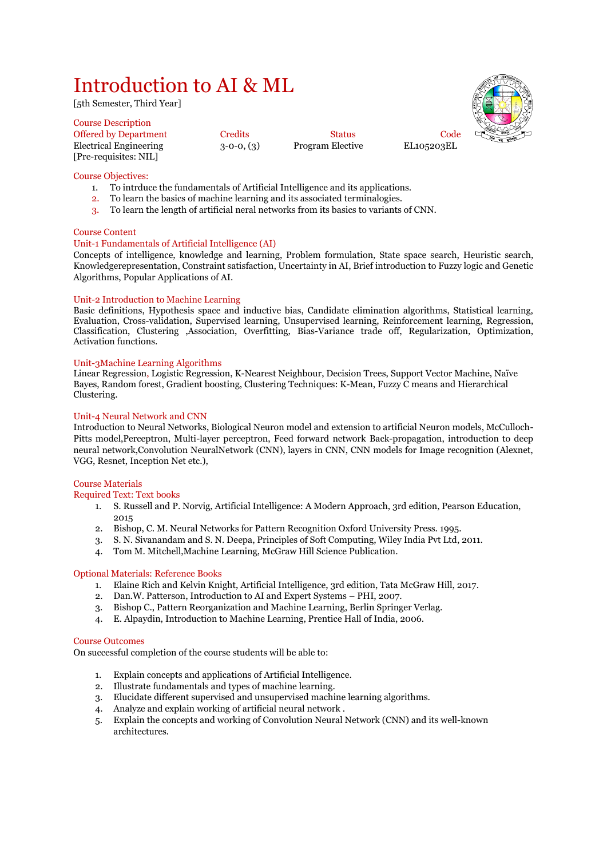## Introduction to AI & ML

[5th Semester, Third Year]

#### Course Description Offered by Department Credits Code Status Code Electrical Engineering 3-0-0, (3) Program Elective EL105203EL [Pre-requisites: NIL]

Course Objectives:

- 1. To intrduce the fundamentals of Artificial Intelligence and its applications.
- 2. To learn the basics of machine learning and its associated terminalogies.
- 3. To learn the length of artificial neral networks from its basics to variants of CNN.

#### Course Content

#### Unit-1 Fundamentals of Artificial Intelligence (AI)

Concepts of intelligence, knowledge and learning, Problem formulation, State space search, Heuristic search, Knowledgerepresentation, Constraint satisfaction, Uncertainty in AI, Brief introduction to Fuzzy logic and Genetic Algorithms, Popular Applications of AI.

#### Unit-2 Introduction to Machine Learning

Basic definitions, Hypothesis space and inductive bias, Candidate elimination algorithms, Statistical learning, Evaluation, Cross-validation, Supervised learning, Unsupervised learning, Reinforcement learning, Regression, Classification, Clustering ,Association, Overfitting, Bias-Variance trade off, Regularization, Optimization, Activation functions.

#### Unit-3Machine Learning Algorithms

Linear Regression, Logistic Regression, K-Nearest Neighbour, Decision Trees, Support Vector Machine, Naïve Bayes, Random forest, Gradient boosting, Clustering Techniques: K-Mean, Fuzzy C means and Hierarchical Clustering.

#### Unit-4 Neural Network and CNN

Introduction to Neural Networks, Biological Neuron model and extension to artificial Neuron models, McCulloch-Pitts model,Perceptron, Multi-layer perceptron, Feed forward network Back-propagation, introduction to deep neural network,Convolution NeuralNetwork (CNN), layers in CNN, CNN models for Image recognition (Alexnet, VGG, Resnet, Inception Net etc.),

#### Course Materials

Required Text: Text books

- 1. S. Russell and P. Norvig, Artificial Intelligence: A Modern Approach, 3rd edition, Pearson Education, 2015
- 2. Bishop, C. M. Neural Networks for Pattern Recognition Oxford University Press. 1995.
- 3. S. N. Sivanandam and S. N. Deepa, Principles of Soft Computing, Wiley India Pvt Ltd, 2011.
- 4. Tom M. Mitchell,Machine Learning, McGraw Hill Science Publication.

#### Optional Materials: Reference Books

- 1. Elaine Rich and Kelvin Knight, Artificial Intelligence, 3rd edition, Tata McGraw Hill, 2017.
- 2. Dan.W. Patterson, Introduction to AI and Expert Systems PHI, 2007.
- 3. Bishop C., Pattern Reorganization and Machine Learning, Berlin Springer Verlag.
- 4. E. Alpaydin, Introduction to Machine Learning, Prentice Hall of India, 2006.

#### Course Outcomes

On successful completion of the course students will be able to:

- 1. Explain concepts and applications of Artificial Intelligence.
- 2. Illustrate fundamentals and types of machine learning.
- 3. Elucidate different supervised and unsupervised machine learning algorithms.
- 4. Analyze and explain working of artificial neural network .
- 5. Explain the concepts and working of Convolution Neural Network (CNN) and its well-known architectures.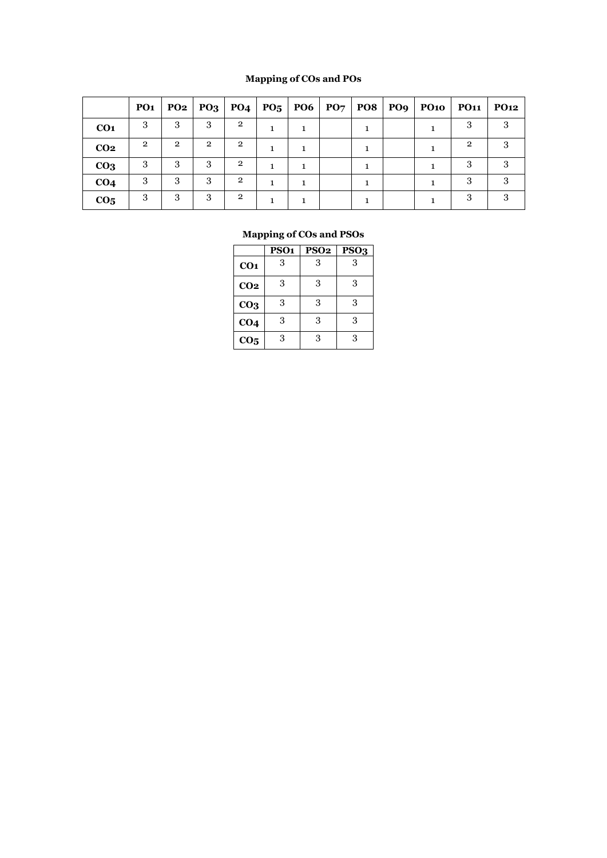## **Mapping of COs and POs**

|                 | <b>PO1</b>   |                |                |                |  |  |  | PO2   PO3   PO4   PO5   PO6   PO7   PO8   PO9   PO10   PO11 | PO12 |
|-----------------|--------------|----------------|----------------|----------------|--|--|--|-------------------------------------------------------------|------|
| CO <sub>1</sub> | З            | 3              | 3              | $\overline{2}$ |  |  |  |                                                             | 3    |
| CO <sub>2</sub> | $\mathbf{p}$ | $\mathfrak{D}$ | $\overline{2}$ | $\overline{2}$ |  |  |  | $\overline{2}$                                              |      |
| CO <sub>3</sub> | 3            | 3              | 3              | $\overline{2}$ |  |  |  | 3                                                           | 3    |
| CO <sub>4</sub> | 3            | 3              | 3              | $\overline{2}$ |  |  |  |                                                             |      |
| CO <sub>5</sub> | 3            | 3              | 3              | $\mathfrak{D}$ |  |  |  |                                                             |      |

|                 | PSO <sub>1</sub> | <b>PSO2</b> | PSO <sub>3</sub> |
|-----------------|------------------|-------------|------------------|
| CO <sub>1</sub> | 3                | 3           | 3                |
| CO <sub>2</sub> | 3                | 3           | 3                |
| CO <sub>3</sub> | 3                | 3           | 3                |
| CO <sub>4</sub> | 3                | 3           | 3                |
| CO <sub>5</sub> | 3                | 3           | 3                |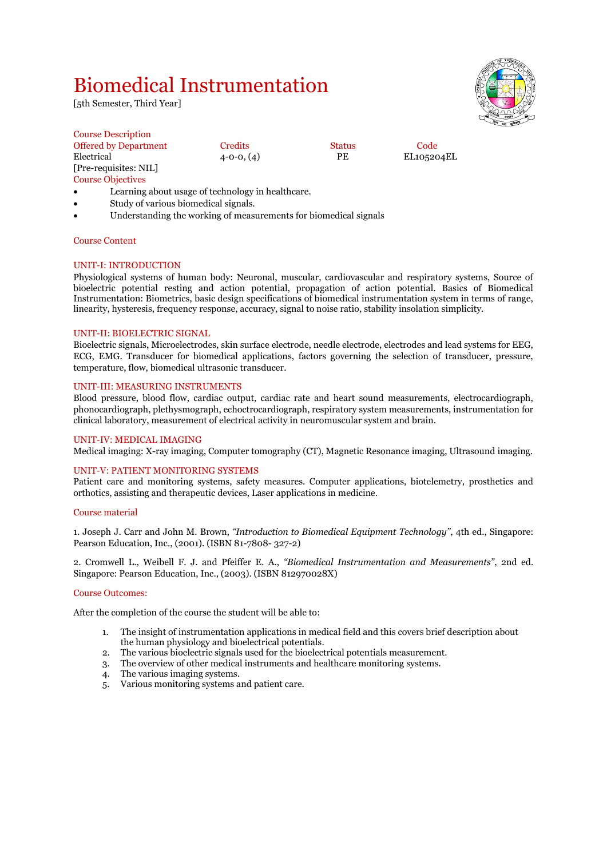## Biomedical Instrumentation

[5th Semester, Third Year]



| <b>Course Description</b>    |                  |               |            |  |
|------------------------------|------------------|---------------|------------|--|
| <b>Offered by Department</b> | Credits          | <b>Status</b> | Code       |  |
| Electrical                   | $4 - 0 - 0, (4)$ | РE            | EL105204EL |  |
| [Pre-requisites: NIL]        |                  |               |            |  |
| <b>Course Objectives</b>     |                  |               |            |  |
|                              |                  |               |            |  |

- Learning about usage of technology in healthcare.
- Study of various biomedical signals.
- Understanding the working of measurements for biomedical signals

#### Course Content

#### UNIT-I: INTRODUCTION

Physiological systems of human body: Neuronal, muscular, cardiovascular and respiratory systems, Source of bioelectric potential resting and action potential, propagation of action potential. Basics of Biomedical Instrumentation: Biometrics, basic design specifications of biomedical instrumentation system in terms of range, linearity, hysteresis, frequency response, accuracy, signal to noise ratio, stability insolation simplicity.

#### UNIT-II: BIOELECTRIC SIGNAL

Bioelectric signals, Microelectrodes, skin surface electrode, needle electrode, electrodes and lead systems for EEG, ECG, EMG. Transducer for biomedical applications, factors governing the selection of transducer, pressure, temperature, flow, biomedical ultrasonic transducer.

#### UNIT-III: MEASURING INSTRUMENTS

Blood pressure, blood flow, cardiac output, cardiac rate and heart sound measurements, electrocardiograph, phonocardiograph, plethysmograph, echoctrocardiograph, respiratory system measurements, instrumentation for clinical laboratory, measurement of electrical activity in neuromuscular system and brain.

#### UNIT-IV: MEDICAL IMAGING

Medical imaging: X-ray imaging, Computer tomography (CT), Magnetic Resonance imaging, Ultrasound imaging.

#### UNIT-V: PATIENT MONITORING SYSTEMS

Patient care and monitoring systems, safety measures. Computer applications, biotelemetry, prosthetics and orthotics, assisting and therapeutic devices, Laser applications in medicine.

#### Course material

1. Joseph J. Carr and John M. Brown, *"Introduction to Biomedical Equipment Technology"*, 4th ed., Singapore: Pearson Education, Inc., (2001). (ISBN 81-7808- 327-2)

2. Cromwell L., Weibell F. J. and Pfeiffer E. A., *"Biomedical Instrumentation and Measurements"*, 2nd ed. Singapore: Pearson Education, Inc., (2003). (ISBN 812970028X)

#### Course Outcomes:

After the completion of the course the student will be able to:

- 1. The insight of instrumentation applications in medical field and this covers brief description about the human physiology and bioelectrical potentials.
- 2. The various bioelectric signals used for the bioelectrical potentials measurement.
- The overview of other medical instruments and healthcare monitoring systems. 3. The overview of other medical 4. The various imaging systems.
- 
- 5. Various monitoring systems and patient care.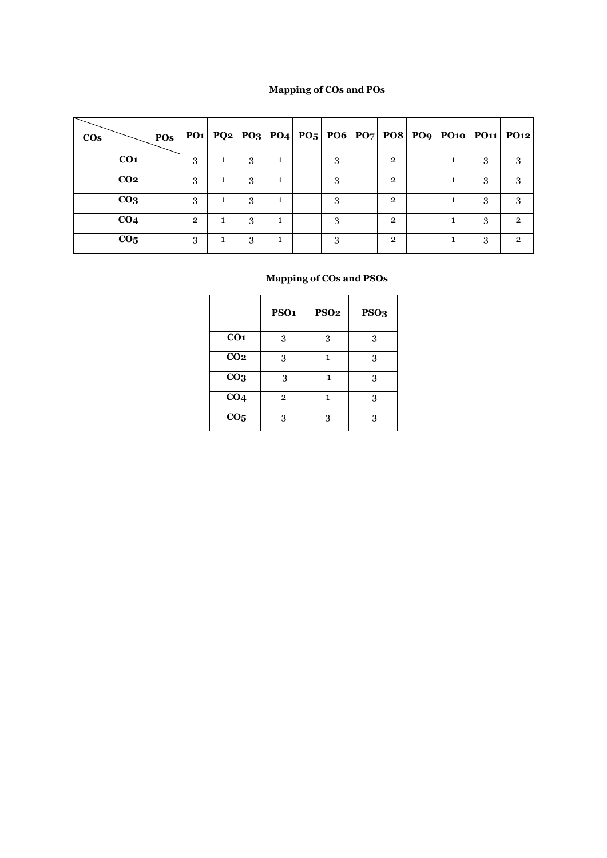## **Mapping of COs and POs**

| POs<br>$\cos$   |                |   |   |   |   |                | PO1  PQ2  PO3  PO4  PO5  PO6  PO7  PO8  PO9  PO10  PO11  PO12 |   |               |
|-----------------|----------------|---|---|---|---|----------------|---------------------------------------------------------------|---|---------------|
| CO <sub>1</sub> | 3              | 1 | 3 | 1 | 3 | $\overline{2}$ |                                                               | 3 | 3             |
| CO <sub>2</sub> | 3              |   | 3 |   | 3 | $\overline{2}$ |                                                               |   |               |
| CO <sub>3</sub> | 3              | 1 | 3 |   | 3 | $\overline{2}$ |                                                               | 3 | 3             |
| CO <sub>4</sub> | $\overline{2}$ |   | 3 |   | 3 | $\overline{2}$ |                                                               | 3 | $\mathcal{P}$ |
| CO <sub>5</sub> | 3              | 1 | 3 |   | 3 | $\overline{2}$ |                                                               | З | 2             |

|                 | PSO <sub>1</sub> | <b>PSO2</b> | PSO <sub>3</sub> |
|-----------------|------------------|-------------|------------------|
| CO <sub>1</sub> | 3                | 3           | 3                |
| CO <sub>2</sub> | 3                | 1           | 3                |
| CO <sub>3</sub> | 3                | 1           | 3                |
| CO <sub>4</sub> | $\overline{2}$   | 1           | 3                |
| CO <sub>5</sub> | 3                | 3           | 3                |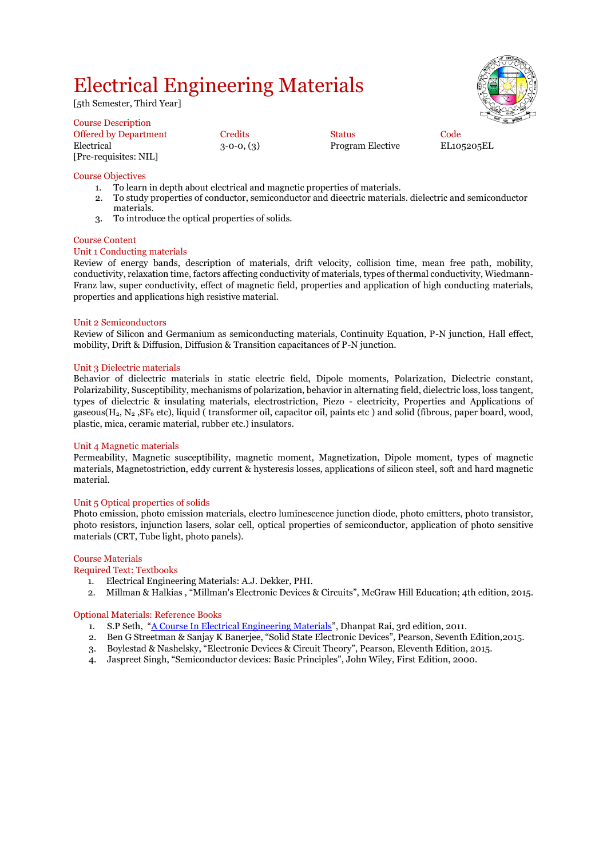## Electrical Engineering Materials

[5th Semester, Third Year]

| <b>Course Description</b>    |                |                         |      |
|------------------------------|----------------|-------------------------|------|
| <b>Offered by Department</b> | <b>Credits</b> | <b>Status</b>           | Code |
| Electrical                   | $3-0-0, (3)$   | <b>Program Elective</b> | EL10 |
| [Pre-requisites: NIL]        |                |                         |      |

Program Elective EL105205EL

#### Course Objectives

- 1. To learn in depth about electrical and magnetic properties of materials.
- 2. To study properties of conductor, semiconductor and dieectric materials. dielectric and semiconductor materials.
- 3. To introduce the optical properties of solids.

#### Course Content

#### Unit 1 Conducting materials

Review of energy bands, description of materials, drift velocity, collision time, mean free path, mobility, conductivity, relaxation time, factors affecting conductivity of materials, types of thermal conductivity, Wiedmann-Franz law, super conductivity, effect of magnetic field, properties and application of high conducting materials, properties and applications high resistive material.

#### Unit 2 Semiconductors

Review of Silicon and Germanium as semiconducting materials, Continuity Equation, P-N junction, Hall effect, mobility, Drift & Diffusion, Diffusion & Transition capacitances of P-N junction.

#### Unit 3 Dielectric materials

Behavior of dielectric materials in static electric field, Dipole moments, Polarization, Dielectric constant, Polarizability, Susceptibility, mechanisms of polarization, behavior in alternating field, dielectric loss, loss tangent, types of dielectric & insulating materials, electrostriction, Piezo - electricity, Properties and Applications of gaseous( $H_2$ , N<sub>2</sub>, SF<sub>6</sub> etc), liquid ( transformer oil, capacitor oil, paints etc) and solid (fibrous, paper board, wood, plastic, mica, ceramic material, rubber etc.) insulators.

#### Unit 4 Magnetic materials

Permeability, Magnetic susceptibility, magnetic moment, Magnetization, Dipole moment, types of magnetic materials, Magnetostriction, eddy current & hysteresis losses, applications of silicon steel, soft and hard magnetic material.

#### Unit 5 Optical properties of solids

Photo emission, photo emission materials, electro luminescence junction diode, photo emitters, photo transistor, photo resistors, injunction lasers, solar cell, optical properties of semiconductor, application of photo sensitive materials (CRT, Tube light, photo panels).

#### Course Materials

#### Required Text: Textbooks

- 1. Electrical Engineering Materials: A.J. Dekker, PHI.
- 2. Millman & Halkias , "Millman's Electronic Devices & Circuits", McGraw Hill Education; 4th edition, 2015.

#### Optional Materials: Reference Books

- 1. S.P Seth, "[A Course In Electrical Engineering Materials](https://www.amazon.in/Course-Electrical-Engineering-Materials/dp/8189928694/ref=sr_1_1?dchild=1&keywords=Electrical+Engineering+Materials+S.P+Seth&qid=1615740489&s=books&sr=1-1)", Dhanpat Rai, 3rd edition, 2011.
- 2. Ben G Streetman & Sanjay K Banerjee, "Solid State Electronic Devices", Pearson, Seventh Edition,2015.
- 3. Boylestad & Nashelsky, "Electronic Devices & Circuit Theory", Pearson, Eleventh Edition, 2015.
- 4. Jaspreet Singh, "Semiconductor devices: Basic Principles", John Wiley, First Edition, 2000.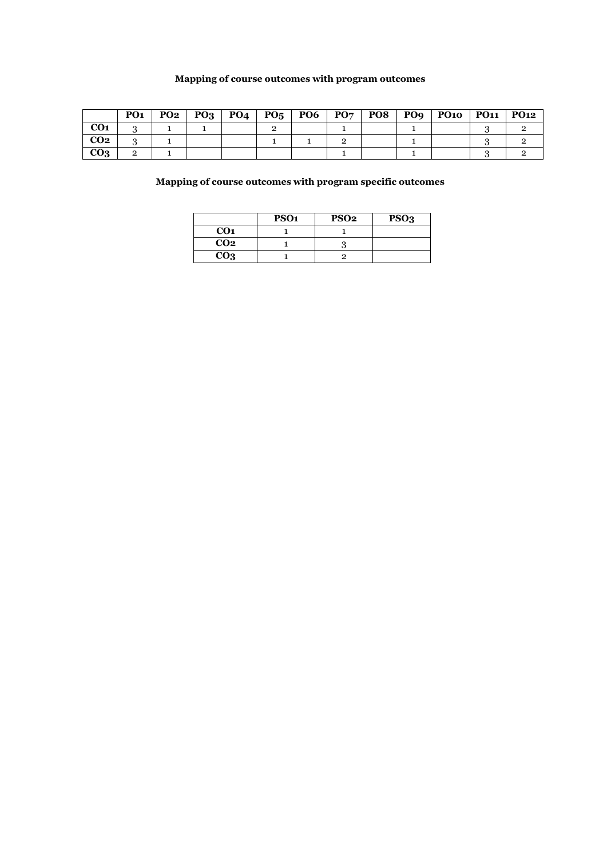## **Mapping of course outcomes with program outcomes**

|                 | PO <sub>1</sub> | <b>PO2</b> | $\mid$ PO <sub>3</sub> | <b>PO4</b> | $P_{05}$ | <b>PO6</b> | $\mathbf{P}\mathbf{O}\mathbf{\mathbf{7}}$ | PO8 | PO9 | PO10 | <b>PO11</b> | <b>PO12</b> |
|-----------------|-----------------|------------|------------------------|------------|----------|------------|-------------------------------------------|-----|-----|------|-------------|-------------|
| CO <sub>1</sub> | ັ               |            |                        |            |          |            |                                           |     |     |      |             |             |
| CO <sub>2</sub> |                 |            |                        |            |          |            |                                           |     |     |      |             |             |
| CO <sub>3</sub> |                 |            |                        |            |          |            |                                           |     |     |      |             |             |

**Mapping of course outcomes with program specific outcomes**

|                 | PSO <sub>1</sub> | <b>PSO2</b> | PSO <sub>3</sub> |
|-----------------|------------------|-------------|------------------|
| CO <sub>1</sub> |                  |             |                  |
| CO <sub>2</sub> |                  |             |                  |
| CO <sub>3</sub> |                  |             |                  |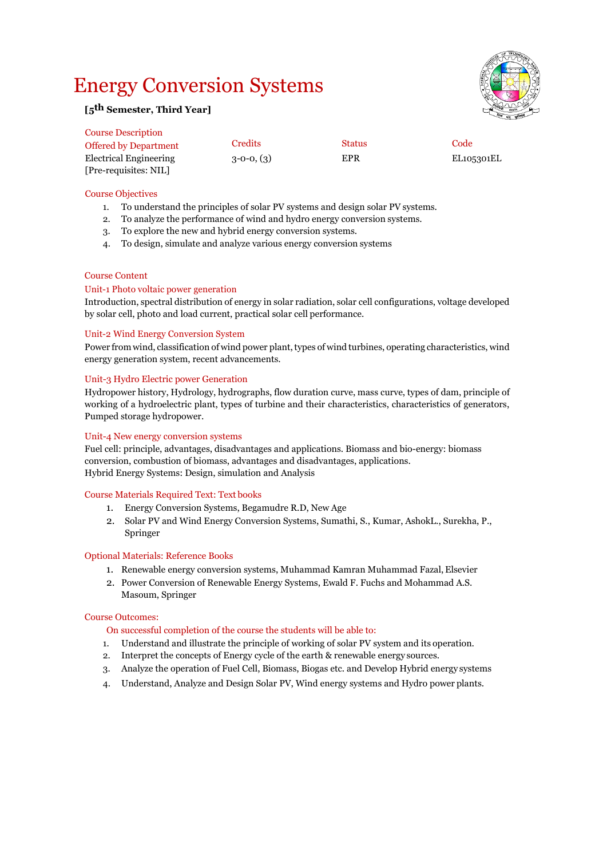## Energy Conversion Systems



### **[5th Semester, Third Year]**

| <b>Course Description</b>    |              |               |            |
|------------------------------|--------------|---------------|------------|
| <b>Offered by Department</b> | Credits      | <b>Status</b> | Code       |
| Electrical Engineering       | $3-0-0, (3)$ | EPR           | EL105301EL |
| [Pre-requisites: NIL]        |              |               |            |

#### Course Objectives

- 1. To understand the principles of solar PV systems and design solar PV systems.
- 2. To analyze the performance of wind and hydro energy conversion systems.
- 3. To explore the new and hybrid energy conversion systems.
- 4. To design, simulate and analyze various energy conversion systems

#### Course Content

#### Unit-1 Photo voltaic power generation

Introduction, spectral distribution of energy in solar radiation, solar cell configurations, voltage developed by solar cell, photo and load current, practical solar cell performance.

#### Unit-2 Wind Energy Conversion System

Power from wind, classification of wind power plant, types of wind turbines, operating characteristics, wind energy generation system, recent advancements.

#### Unit-3 Hydro Electric power Generation

Hydropower history, Hydrology, hydrographs, flow duration curve, mass curve, types of dam, principle of working of a hydroelectric plant, types of turbine and their characteristics, characteristics of generators, Pumped storage hydropower.

#### Unit-4 New energy conversion systems

Fuel cell: principle, advantages, disadvantages and applications. Biomass and bio-energy: biomass conversion, combustion of biomass, advantages and disadvantages, applications. Hybrid Energy Systems: Design, simulation and Analysis

#### Course Materials Required Text: Text books

- 1. Energy Conversion Systems, Begamudre R.D, New Age
- 2. Solar PV and Wind Energy Conversion Systems, Sumathi, S., Kumar, AshokL., Surekha, P., Springer

#### Optional Materials: Reference Books

- 1. Renewable energy conversion systems, Muhammad Kamran Muhammad Fazal, Elsevier
- 2. Power Conversion of Renewable Energy Systems, Ewald F. Fuchs and Mohammad A.S. Masoum, Springer

#### Course Outcomes:

- On successful completion of the course the students will be able to:
- 1. Understand and illustrate the principle of working of solar PV system and its operation.
- 2. Interpret the concepts of Energy cycle of the earth & renewable energy sources.
- 3. Analyze the operation of Fuel Cell, Biomass, Biogas etc. and Develop Hybrid energy systems
- 4. Understand, Analyze and Design Solar PV, Wind energy systems and Hydro power plants.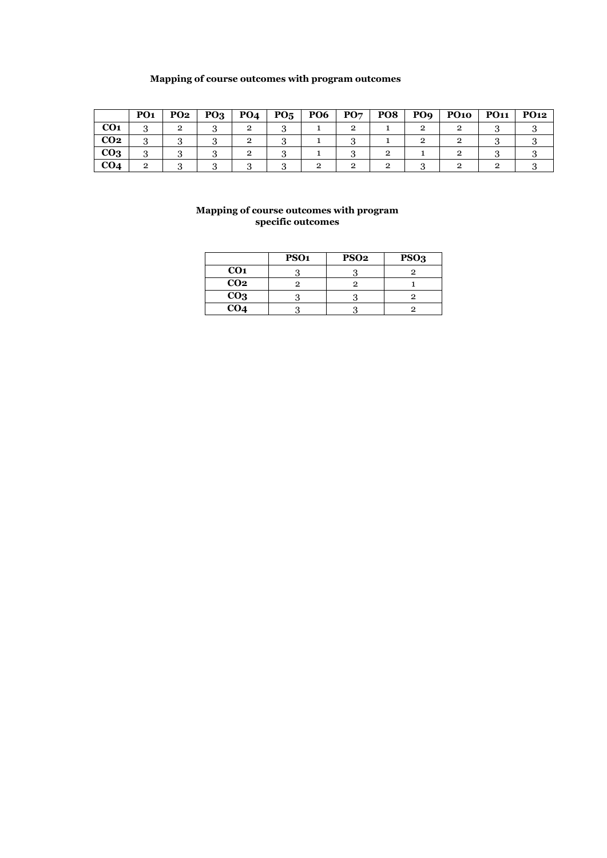## **Mapping of course outcomes with program outcomes**

|                 | PO <sub>1</sub> | PO <sub>2</sub> | $PQ_3$ | PO <sub>4</sub> | PO <sub>5</sub> | PO <sub>6</sub> | PO7 | PO8 | PO <sub>9</sub> | <b>PO10</b> | <b>PO11</b> | <b>PO12</b> |
|-----------------|-----------------|-----------------|--------|-----------------|-----------------|-----------------|-----|-----|-----------------|-------------|-------------|-------------|
| CO <sub>1</sub> |                 |                 |        |                 |                 |                 |     |     |                 |             |             |             |
| CO <sub>2</sub> | $\cdot$         |                 |        |                 |                 |                 |     |     |                 |             |             |             |
| CO <sub>3</sub> | $\cdot$         |                 |        |                 |                 |                 |     |     |                 |             |             |             |
| CO4             |                 |                 |        |                 |                 |                 |     |     |                 |             |             |             |

#### **Mapping of course outcomes with program specific outcomes**

|                 | PSO <sub>1</sub> | PSO <sub>2</sub> | PSO <sub>3</sub> |
|-----------------|------------------|------------------|------------------|
| CO <sub>1</sub> |                  |                  |                  |
| CO <sub>2</sub> |                  |                  |                  |
| CO <sub>3</sub> |                  |                  |                  |
| CO <sub>4</sub> |                  |                  |                  |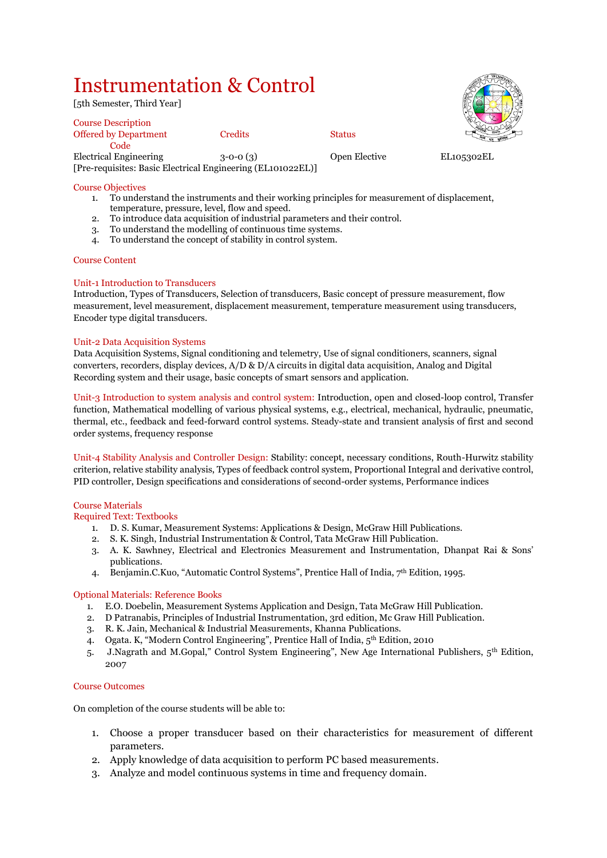## Instrumentation & Control

[5th Semester, Third Year]

Course Description Offered by Department Credits Status **Code** Electrical Engineering 3-0-0 (3) Open Elective EL105302EL [Pre-requisites: Basic Electrical Engineering (EL101022EL)]

Course Objectives

- 1. To understand the instruments and their working principles for measurement of displacement, temperature, pressure, level, flow and speed.
- 2. To introduce data acquisition of industrial parameters and their control.<br>3. To understand the modelling of continuous time systems.
- 3. To understand the modelling of continuous time systems.
- 4. To understand the concept of stability in control system.

#### Course Content

#### Unit-1 Introduction to Transducers

Introduction, Types of Transducers, Selection of transducers, Basic concept of pressure measurement, flow measurement, level measurement, displacement measurement, temperature measurement using transducers, Encoder type digital transducers.

#### Unit-2 Data Acquisition Systems

Data Acquisition Systems, Signal conditioning and telemetry, Use of signal conditioners, scanners, signal converters, recorders, display devices, A/D & D/A circuits in digital data acquisition, Analog and Digital Recording system and their usage, basic concepts of smart sensors and application.

Unit-3 Introduction to system analysis and control system: Introduction, open and closed-loop control, Transfer function, Mathematical modelling of various physical systems, e.g., electrical, mechanical, hydraulic, pneumatic, thermal, etc., feedback and feed-forward control systems. Steady-state and transient analysis of first and second order systems, frequency response

Unit-4 Stability Analysis and Controller Design: Stability: concept, necessary conditions, Routh-Hurwitz stability criterion, relative stability analysis, Types of feedback control system, Proportional Integral and derivative control, PID controller, Design specifications and considerations of second-order systems, Performance indices

#### Course Materials

Required Text: Textbooks

- 1. D. S. Kumar, Measurement Systems: Applications & Design, McGraw Hill Publications.
- 2. S. K. Singh, Industrial Instrumentation & Control, Tata McGraw Hill Publication.
- 3. A. K. Sawhney, Electrical and Electronics Measurement and Instrumentation, Dhanpat Rai & Sons' publications.
- 4. Benjamin.C.Kuo, "Automatic Control Systems", Prentice Hall of India,  $7<sup>th</sup>$  Edition, 1995.

#### Optional Materials: Reference Books

- 1. E.O. Doebelin, Measurement Systems Application and Design, Tata McGraw Hill Publication.
- 2. D Patranabis, Principles of Industrial Instrumentation, 3rd edition, Mc Graw Hill Publication.
- 3. R. K. Jain, Mechanical & Industrial Measurements, Khanna Publications.
- 4. Ogata. K, "Modern Control Engineering", Prentice Hall of India, 5th Edition, 2010
- 5. J.Nagrath and M.Gopal," Control System Engineering", New Age International Publishers, 5th Edition, 2007

#### Course Outcomes

On completion of the course students will be able to:

- 1. Choose a proper transducer based on their characteristics for measurement of different parameters.
- 2. Apply knowledge of data acquisition to perform PC based measurements.
- 3. Analyze and model continuous systems in time and frequency domain.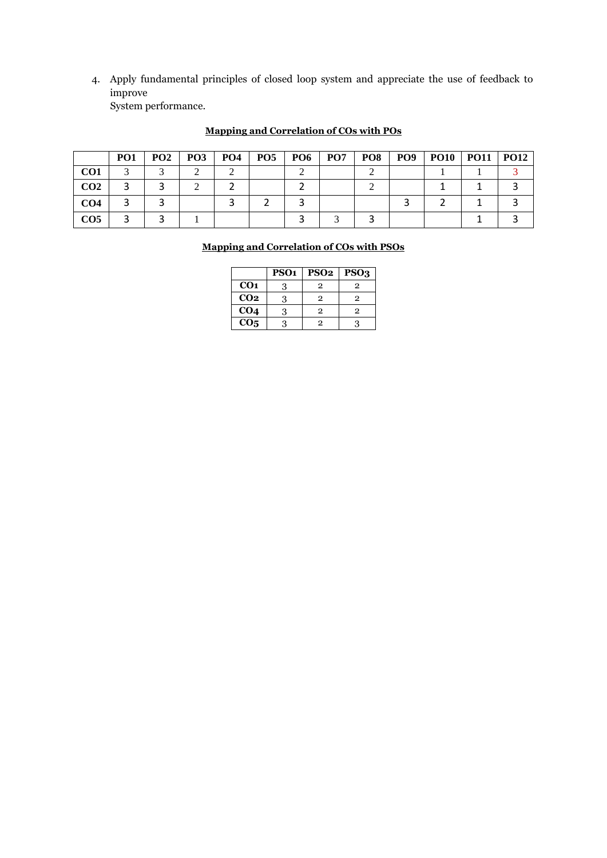4. Apply fundamental principles of closed loop system and appreciate the use of feedback to improve System performance.

|                 | PO <sub>1</sub> | PO <sub>2</sub> | PO3 | <b>PO4</b> | PO <sub>5</sub> | PO6 | PO <sub>7</sub> | PO8 | PO <sub>9</sub> | <b>PO10</b> | <b>PO11</b> | PO12 |
|-----------------|-----------------|-----------------|-----|------------|-----------------|-----|-----------------|-----|-----------------|-------------|-------------|------|
| CO <sub>1</sub> |                 |                 |     |            |                 |     |                 |     |                 |             |             |      |
| CO <sub>2</sub> |                 |                 |     |            |                 |     |                 |     |                 |             |             |      |
| CO4             |                 |                 |     |            |                 |     |                 |     |                 |             |             |      |
| CO <sub>5</sub> |                 |                 |     |            |                 |     |                 |     |                 |             |             |      |

## **Mapping and Correlation of COs with POs**

### **Mapping and Correlation of COs with PSOs**

|                   | PSO <sub>1</sub> | <b>PSO2</b> | PSO <sub>3</sub> |
|-------------------|------------------|-------------|------------------|
| CO <sub>1</sub>   | 3                | 2           | 2                |
| CO <sub>2</sub>   | 3                | 2           | 2                |
| CO <sub>4</sub>   | 3                | 2           | 2                |
| $\overline{CO_5}$ |                  | 2           |                  |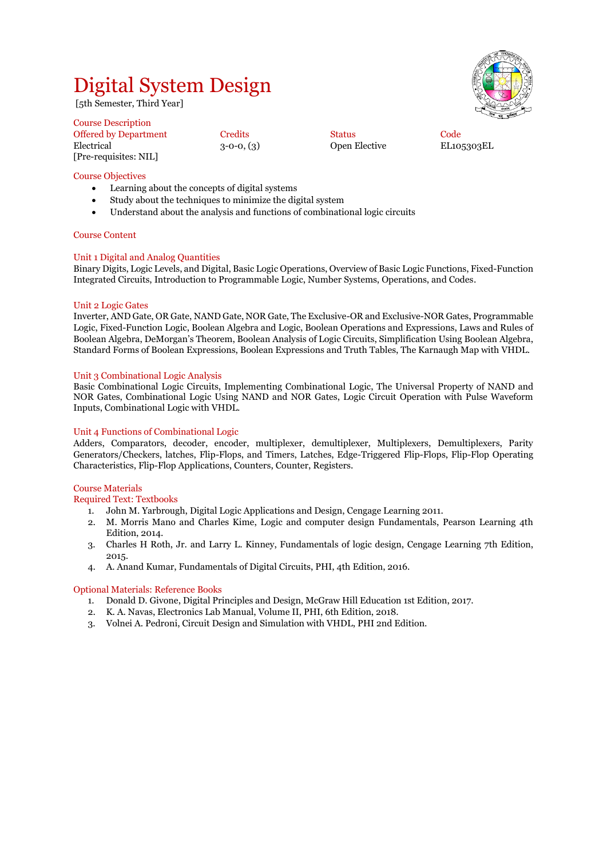## Digital System Design

[5th Semester, Third Year]

Course Description Offered by Department Credits Code Status Code Electrical 3-0-0, (3) Open Elective EL105303EL [Pre-requisites: NIL]

Course Objectives

- Learning about the concepts of digital systems
- Study about the techniques to minimize the digital system
- Understand about the analysis and functions of combinational logic circuits

#### Course Content

#### Unit 1 Digital and Analog Quantities

Binary Digits, Logic Levels, and Digital, Basic Logic Operations, Overview of Basic Logic Functions, Fixed-Function Integrated Circuits, Introduction to Programmable Logic, Number Systems, Operations, and Codes.

#### Unit 2 Logic Gates

Inverter, AND Gate, OR Gate, NAND Gate, NOR Gate, The Exclusive-OR and Exclusive-NOR Gates, Programmable Logic, Fixed-Function Logic, Boolean Algebra and Logic, Boolean Operations and Expressions, Laws and Rules of Boolean Algebra, DeMorgan's Theorem, Boolean Analysis of Logic Circuits, Simplification Using Boolean Algebra, Standard Forms of Boolean Expressions, Boolean Expressions and Truth Tables, The Karnaugh Map with VHDL.

#### Unit 3 Combinational Logic Analysis

Basic Combinational Logic Circuits, Implementing Combinational Logic, The Universal Property of NAND and NOR Gates, Combinational Logic Using NAND and NOR Gates, Logic Circuit Operation with Pulse Waveform Inputs, Combinational Logic with VHDL.

#### Unit 4 Functions of Combinational Logic

Adders, Comparators, decoder, encoder, multiplexer, demultiplexer, Multiplexers, Demultiplexers, Parity Generators/Checkers, latches, Flip-Flops, and Timers, Latches, Edge-Triggered Flip-Flops, Flip-Flop Operating Characteristics, Flip-Flop Applications, Counters, Counter, Registers.

#### Course Materials

Required Text: Textbooks

- 1. John M. Yarbrough, Digital Logic Applications and Design, Cengage Learning 2011.
- 2. M. Morris Mano and Charles Kime, Logic and computer design Fundamentals, Pearson Learning 4th Edition, 2014.
- 3. Charles H Roth, Jr. and Larry L. Kinney, Fundamentals of logic design, Cengage Learning 7th Edition, 2015.
- 4. A. Anand Kumar, Fundamentals of Digital Circuits, PHI, 4th Edition, 2016.

#### Optional Materials: Reference Books

- 1. Donald D. Givone, Digital Principles and Design, McGraw Hill Education 1st Edition, 2017.
- 2. K. A. Navas, Electronics Lab Manual, Volume II, PHI, 6th Edition, 2018.
- 3. Volnei A. Pedroni, Circuit Design and Simulation with VHDL, PHI 2nd Edition.

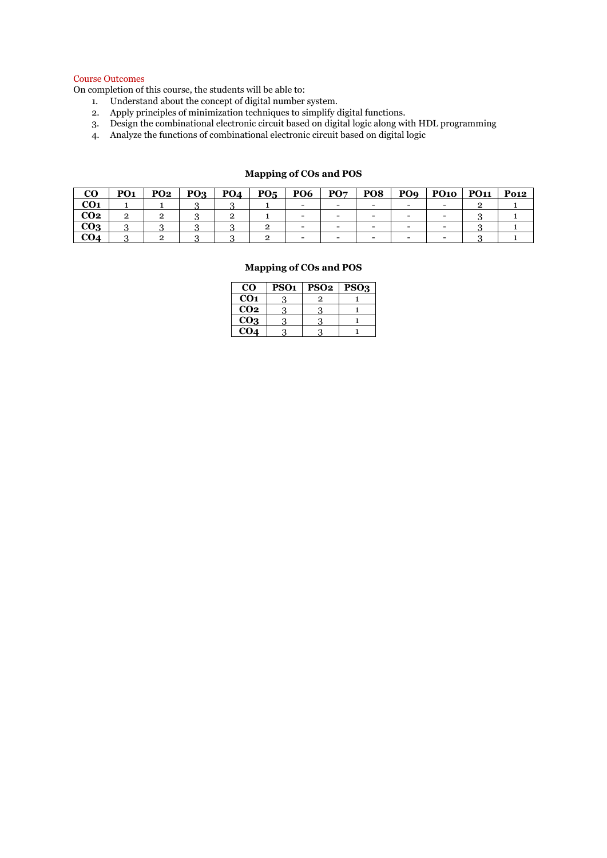#### Course Outcomes

On completion of this course, the students will be able to:

- 1. Understand about the concept of digital number system.
- 2. Apply principles of minimization techniques to simplify digital functions.

Г

- 3. Design the combinational electronic circuit based on digital logic along with HDL programming
- 4. Analyze the functions of combinational electronic circuit based on digital logic

#### **CO PO1 PO2 PO3 PO4 PO5 PO6 PO7 PO8 PO9 PO10 PO11 Po12 CO1** | 1 | 1 | 3 | 3 | 1 | - | - | - | - | - | 2 | 1 **CO2** | 2 | 2 | 3 | 2 | 1 | - | - | - | - | - | 3 | 1 **CO3** 3 3 3 3 2 - - - - - 3 1 **CO4** | 3 | 2 | 3 | 3 | 2 | - | - | - | - | - | 3 | 1

**Mapping of COs and POS**

### **Mapping of COs and POS CO PSO1 PSO2 PSO3**

| w               | rðui | 1902 | F503 |
|-----------------|------|------|------|
| CO <sub>1</sub> |      |      |      |
| CO <sub>2</sub> |      |      |      |
| CO <sub>3</sub> |      |      |      |
| CO <sub>4</sub> |      |      |      |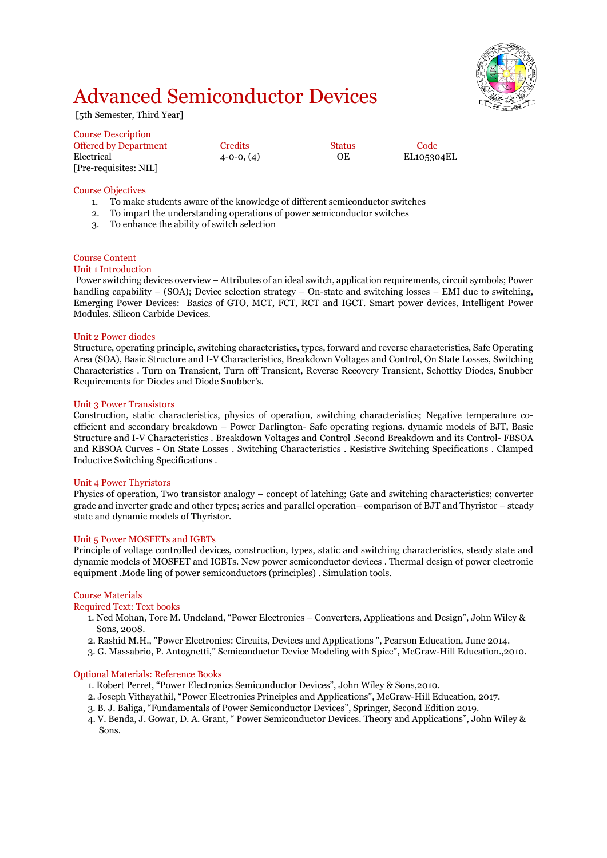## Advanced Semiconductor Devices

[5th Semester, Third Year]

| <b>Course Description</b>    |                  |        |            |
|------------------------------|------------------|--------|------------|
| <b>Offered by Department</b> | Credits          | Status | Code       |
| Electrical                   | $4 - 0 - 0, (4)$ | ОE     | EL105304EL |
| [Pre-requisites: NIL]        |                  |        |            |

#### Course Objectives

- 1. To make students aware of the knowledge of different semiconductor switches
- 2. To impart the understanding operations of power semiconductor switches
- 3. To enhance the ability of switch selection

#### Course Content

#### Unit 1 Introduction

Power switching devices overview – Attributes of an ideal switch, application requirements, circuit symbols; Power handling capability – (SOA); Device selection strategy – On-state and switching losses – EMI due to switching, Emerging Power Devices: Basics of GTO, MCT, FCT, RCT and IGCT. Smart power devices, Intelligent Power Modules. Silicon Carbide Devices.

#### Unit 2 Power diodes

Structure, operating principle, switching characteristics, types, forward and reverse characteristics, Safe Operating Area (SOA), Basic Structure and I-V Characteristics, Breakdown Voltages and Control, On State Losses, Switching Characteristics . Turn on Transient, Turn off Transient, Reverse Recovery Transient, Schottky Diodes, Snubber Requirements for Diodes and Diode Snubber's.

#### Unit 3 Power Transistors

Construction, static characteristics, physics of operation, switching characteristics; Negative temperature coefficient and secondary breakdown – Power Darlington- Safe operating regions. dynamic models of BJT, Basic Structure and I-V Characteristics . Breakdown Voltages and Control .Second Breakdown and its Control- FBSOA and RBSOA Curves - On State Losses . Switching Characteristics . Resistive Switching Specifications . Clamped Inductive Switching Specifications .

#### Unit 4 Power Thyristors

Physics of operation, Two transistor analogy – concept of latching; Gate and switching characteristics; converter grade and inverter grade and other types; series and parallel operation– comparison of BJT and Thyristor – steady state and dynamic models of Thyristor.

#### Unit 5 Power MOSFETs and IGBTs

Principle of voltage controlled devices, construction, types, static and switching characteristics, steady state and dynamic models of MOSFET and IGBTs. New power semiconductor devices . Thermal design of power electronic equipment .Mode ling of power semiconductors (principles) . Simulation tools.

#### Course Materials

#### Required Text: Text books

- 1. Ned Mohan, Tore M. Undeland, "Power Electronics Converters, Applications and Design", John Wiley & Sons, 2008.
- 2. Rashid M.H., "Power Electronics: Circuits, Devices and Applications ", Pearson Education, June 2014.
- 3. G. Massabrio, P. Antognetti," Semiconductor Device Modeling with Spice", McGraw-Hill Education.,2010.

#### Optional Materials: Reference Books

- 1. Robert Perret, "Power Electronics Semiconductor Devices", John Wiley & Sons,2010.
- 2. Joseph Vithayathil, "Power Electronics Principles and Applications", McGraw-Hill Education, 2017.
- 3. B. J. Baliga, "Fundamentals of Power Semiconductor Devices", Springer, Second Edition 2019.
- 4. V. Benda, J. Gowar, D. A. Grant, " Power Semiconductor Devices. Theory and Applications", John Wiley & Sons.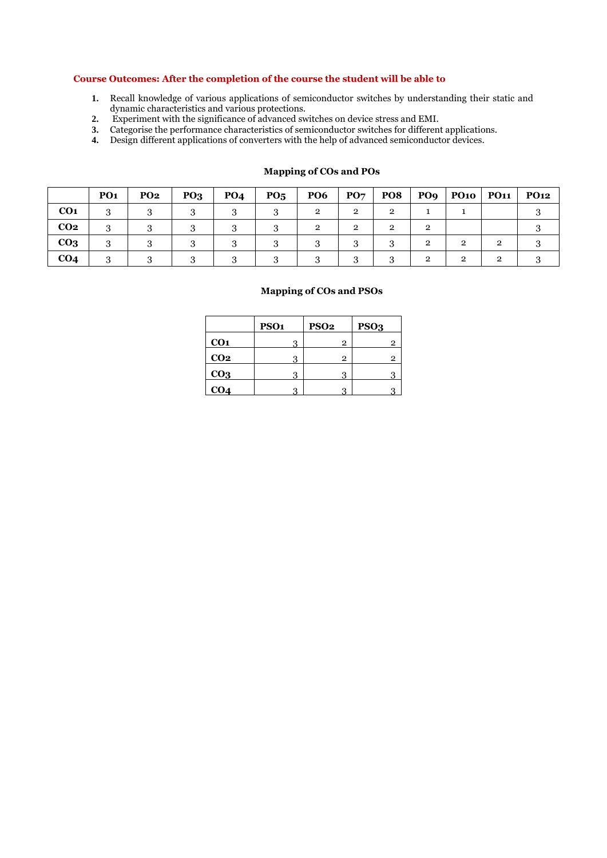#### **Course Outcomes: After the completion of the course the student will be able to**

- **1.** Recall knowledge of various applications of semiconductor switches by understanding their static and dynamic characteristics and various protections.
- **2.** Experiment with the significance of advanced switches on device stress and EMI.
- **3.** Categorise the performance characteristics of semiconductor switches for different applications.
- **4.** Design different applications of converters with the help of advanced semiconductor devices.

|                 | PO <sub>1</sub> | <b>PO2</b> | PQ <sub>3</sub> | PO <sub>4</sub> | $P_{05}$ | <b>PO6</b>     | $\mathbf{PO}\mathbf{7}$ | PO8            |                |   | <b>PO12</b> |
|-----------------|-----------------|------------|-----------------|-----------------|----------|----------------|-------------------------|----------------|----------------|---|-------------|
| CO <sub>1</sub> |                 |            |                 |                 |          | $\mathfrak{D}$ | $\mathfrak{D}$          | $\overline{2}$ |                |   |             |
| CO <sub>2</sub> |                 |            |                 |                 |          | റ              | $\Omega$                | $\mathfrak{p}$ | റ              |   |             |
| CO <sub>3</sub> |                 |            |                 |                 |          |                |                         |                | $\mathfrak{D}$ | ົ |             |
| CO <sub>4</sub> |                 |            |                 |                 |          |                |                         | ?              | 2              | റ |             |

#### **Mapping of COs and POs**

|                 | PSO <sub>1</sub> | <b>PSO2</b> | PSO <sub>3</sub> |
|-----------------|------------------|-------------|------------------|
| CO <sub>1</sub> | 3                | 2           | 2                |
| CO <sub>2</sub> | 3                | 2           | 2                |
| CO <sub>3</sub> | 3                | 3           |                  |
| CO <sub>4</sub> |                  |             |                  |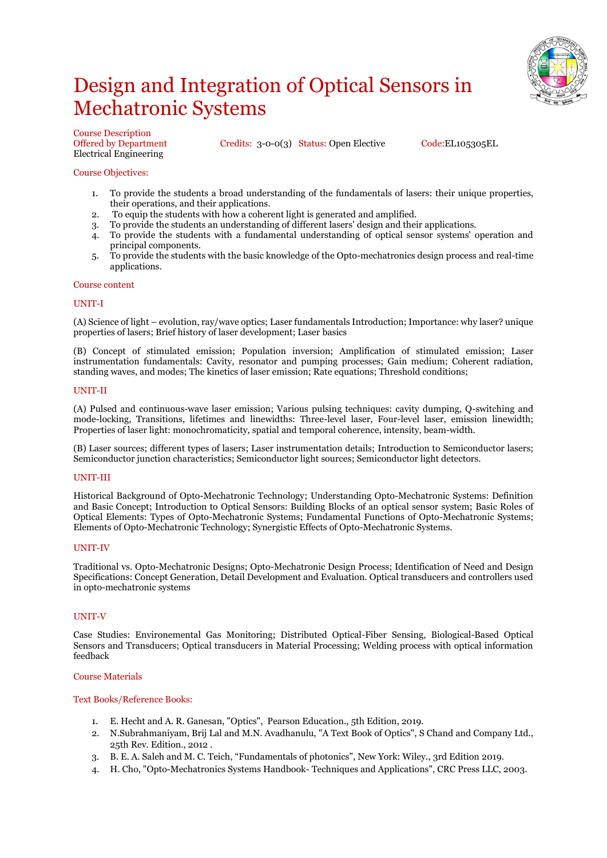## Design and Integration of Optical Sensors in Mechatronic Systems



Course Description Electrical Engineering

Offered by Department Credits: 3-0-0(3) Status: Open Elective Code:EL105305EL

#### Course Objectives:

- 1. To provide the students a broad understanding of the fundamentals of lasers: their unique properties, their operations, and their applications.
- 2. To equip the students with how a coherent light is generated and amplified.
- 3. To provide the students an understanding of different lasers' design and their applications.
- 4. To provide the students with a fundamental understanding of optical sensor systems' operation and principal components.
- 5. To provide the students with the basic knowledge of the Opto-mechatronics design process and real-time applications.

#### Course content

#### UNIT-I

(A) Science of light – evolution, ray/wave optics; Laser fundamentals Introduction; Importance: why laser? unique properties of lasers; Brief history of laser development; Laser basics

(B) Concept of stimulated emission; Population inversion; Amplification of stimulated emission; Laser instrumentation fundamentals: Cavity, resonator and pumping processes; Gain medium; Coherent radiation, standing waves, and modes; The kinetics of laser emission; Rate equations; Threshold conditions;

#### UNIT-II

(A) Pulsed and continuous-wave laser emission; Various pulsing techniques: cavity dumping, Q-switching and mode-locking, Transitions, lifetimes and linewidths: Three-level laser, Four-level laser, emission linewidth; Properties of laser light: monochromaticity, spatial and temporal coherence, intensity, beam-width.

(B) Laser sources; different types of lasers; Laser instrumentation details; Introduction to Semiconductor lasers; Semiconductor junction characteristics; Semiconductor light sources; Semiconductor light detectors.

#### UNIT-III

Historical Background of Opto-Mechatronic Technology; Understanding Opto-Mechatronic Systems: Definition and Basic Concept; Introduction to Optical Sensors: Building Blocks of an optical sensor system; Basic Roles of Optical Elements: Types of Opto-Mechatronic Systems; Fundamental Functions of Opto-Mechatronic Systems; Elements of Opto-Mechatronic Technology; Synergistic Effects of Opto-Mechatronic Systems.

#### UNIT-IV

Traditional vs. Opto-Mechatronic Designs; Opto-Mechatronic Design Process; Identification of Need and Design Specifications: Concept Generation, Detail Development and Evaluation. Optical transducers and controllers used in opto-mechatronic systems

#### UNIT-V

Case Studies: Environemental Gas Monitoring; Distributed Optical-Fiber Sensing, Biological-Based Optical Sensors and Transducers; Optical transducers in Material Processing; Welding process with optical information feedback

#### Course Materials

#### Text Books/Reference Books:

- 1. E. Hecht and A. R. Ganesan, "Optics", Pearson Education., 5th Edition, 2019.
- 2. N.Subrahmaniyam, Brij Lal and M.N. Avadhanulu, "A Text Book of Optics", S Chand and Company Ltd., 25th Rev. Edition., 2012 .
- 3. B. E. A. Saleh and M. C. Teich, "Fundamentals of photonics", New York: Wiley., 3rd Edition 2019.
- 4. H. Cho, "Opto-Mechatronics Systems Handbook- Techniques and Applications", CRC Press LLC, 2003.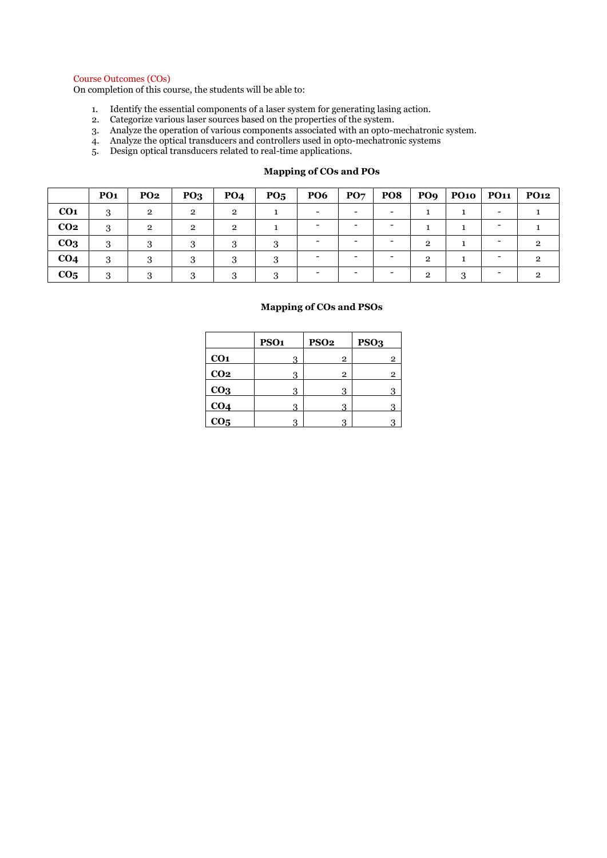#### Course Outcomes (COs)

On completion of this course, the students will be able to:

- 1. Identify the essential components of a laser system for generating lasing action.
- 2. Categorize various laser sources based on the properties of the system.
- 3. Analyze the operation of various components associated with an opto-mechatronic system.
- 4. Analyze the optical transducers and controllers used in opto-mechatronic systems
- 5. Design optical transducers related to real-time applications.

|                 | PO <sub>1</sub> | PO <sub>2</sub> | PQ <sub>3</sub> | PO <sub>4</sub> | $P_{05}$ | <b>PO6</b> | $P_{O7}$ | PO8 | PO9            | $P$ O10 | <b>PO11</b> | <b>PO12</b> |
|-----------------|-----------------|-----------------|-----------------|-----------------|----------|------------|----------|-----|----------------|---------|-------------|-------------|
| CO <sub>1</sub> | 3               | റ               | $\mathcal{P}$   | $\mathcal{P}$   |          |            |          |     |                |         |             |             |
| CO <sub>2</sub> | 3               | - 20            | $\mathcal{P}$   | $\mathbf{p}$    |          |            |          |     |                |         |             |             |
| CO <sub>3</sub> | 3               |                 |                 | 3               |          |            |          |     | $\mathfrak{D}$ |         |             |             |
| CO <sub>4</sub> | Ω               |                 |                 |                 |          |            |          |     | $\mathfrak{D}$ |         |             |             |
| CO <sub>5</sub> | റ               |                 |                 |                 |          |            |          |     | റ              | ◠       |             |             |

#### **Mapping of COs and POs**

|                 | PSO <sub>1</sub> | <b>PSO2</b>    | PSO <sub>3</sub> |
|-----------------|------------------|----------------|------------------|
| CO <sub>1</sub> | 3                | $\mathbf{2}$   | $\overline{2}$   |
| CO <sub>2</sub> | 3                | $\overline{2}$ | $\overline{2}$   |
| CO <sub>3</sub> | 3                | 3              | 3                |
| CO <sub>4</sub> | 3                | 3              | Q                |
| CO <sub>5</sub> | 3                | 3              |                  |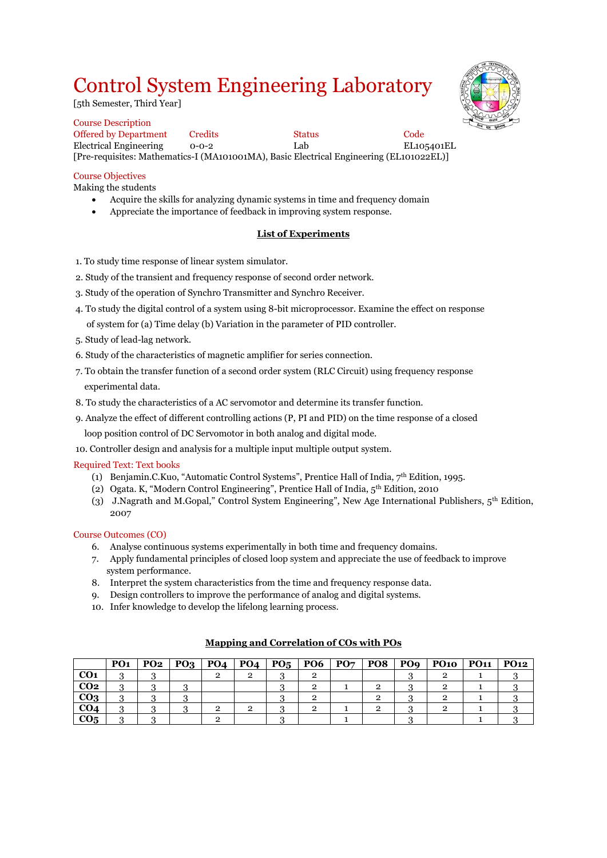## Control System Engineering Laboratory

[5th Semester, Third Year]

Course Description Offered by Department Credits Status Code Electrical Engineering 0-0-2 Lab EL105401EL [Pre-requisites: Mathematics-I (MA101001MA), Basic Electrical Engineering (EL101022EL)]

### Course Objectives

Making the students

- Acquire the skills for analyzing dynamic systems in time and frequency domain
- Appreciate the importance of feedback in improving system response.

### **List of Experiments**

- 1. To study time response of linear system simulator.
- 2. Study of the transient and frequency response of second order network.
- 3. Study of the operation of Synchro Transmitter and Synchro Receiver.
- 4. To study the digital control of a system using 8-bit microprocessor. Examine the effect on response of system for (a) Time delay (b) Variation in the parameter of PID controller.
- 5. Study of lead-lag network.
- 6. Study of the characteristics of magnetic amplifier for series connection.
- 7. To obtain the transfer function of a second order system (RLC Circuit) using frequency response experimental data.
- 8. To study the characteristics of a AC servomotor and determine its transfer function.
- 9. Analyze the effect of different controlling actions (P, PI and PID) on the time response of a closed

loop position control of DC Servomotor in both analog and digital mode.

10. Controller design and analysis for a multiple input multiple output system.

#### Required Text: Text books

- (1) Benjamin.C.Kuo, "Automatic Control Systems", Prentice Hall of India,  $7<sup>th</sup>$  Edition, 1995.
- (2) Ogata. K, "Modern Control Engineering", Prentice Hall of India, 5th Edition, 2010
- (3) J.Nagrath and M.Gopal," Control System Engineering", New Age International Publishers, 5th Edition, 2007

#### Course Outcomes (CO)

- 6. Analyse continuous systems experimentally in both time and frequency domains.
- 7. Apply fundamental principles of closed loop system and appreciate the use of feedback to improve system performance.
- 8. Interpret the system characteristics from the time and frequency response data.
- 9. Design controllers to improve the performance of analog and digital systems.
- 10. Infer knowledge to develop the lifelong learning process.

|                 | PO <sub>1</sub> | $PO2$   $PO3$ |  | $PO_4$   PO <sub>4</sub>   PO <sub>5</sub>   PO6   PO <sub>7</sub> |  | <b>PO8</b> | PO9   PO10   PO11   PO12 |  |
|-----------------|-----------------|---------------|--|--------------------------------------------------------------------|--|------------|--------------------------|--|
| CO <sub>1</sub> |                 |               |  |                                                                    |  |            |                          |  |
| CO <sub>2</sub> |                 |               |  |                                                                    |  |            |                          |  |
| CO <sub>3</sub> |                 |               |  |                                                                    |  |            |                          |  |
| CO4             |                 |               |  |                                                                    |  |            |                          |  |
| CO <sub>5</sub> |                 |               |  |                                                                    |  |            |                          |  |

#### **Mapping and Correlation of COs with POs**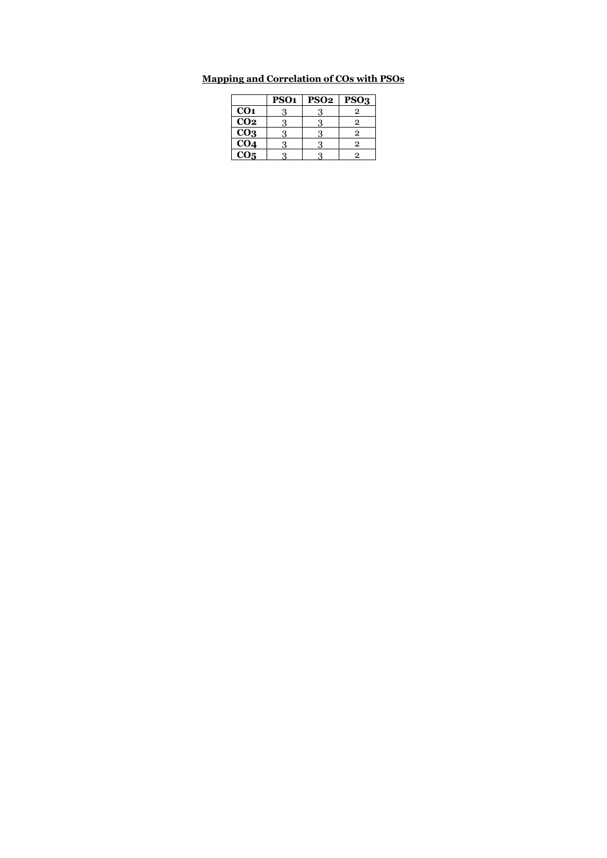### **Mapping and Correlation of COs with PSOs**

|                          | PSO <sub>1</sub> | <b>PSO2</b> | PSO <sub>3</sub> |
|--------------------------|------------------|-------------|------------------|
| CO <sub>1</sub>          | З                |             | 2                |
| $\overline{CO2}$         | 3                |             | 2                |
| $\overline{CO_3}$        | 3                |             | 2                |
| $\overline{CO_4}$        | з                |             | 2                |
| $\overline{\text{CO}_5}$ | 3                |             | 2                |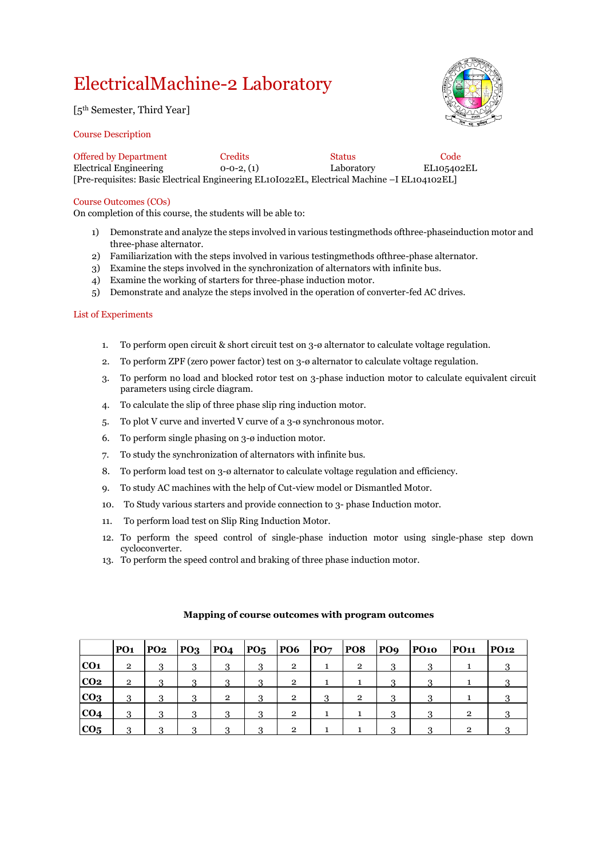## ElectricalMachine-2 Laboratory

[5th Semester, Third Year]

#### Course Description

| TECHNOLOGY<br>OF<br>ATUTE<br>A BASE<br>š<br>홑<br>ξ<br>मंच्या |
|--------------------------------------------------------------|
|                                                              |

| <b>Offered by Department</b>                                                                | Credits         | <b>Status</b> | Code       |
|---------------------------------------------------------------------------------------------|-----------------|---------------|------------|
| Electrical Engineering                                                                      | $0-0-2$ , $(1)$ | Laboratory    | EL105402EL |
| [Pre-requisites: Basic Electrical Engineering EL10I022EL, Electrical Machine –I EL104102EL] |                 |               |            |

#### Course Outcomes (COs)

On completion of this course, the students will be able to:

- 1) Demonstrate and analyze the steps involved in various testingmethods ofthree-phaseinduction motor and three-phase alternator.
- 2) Familiarization with the steps involved in various testingmethods ofthree-phase alternator.
- 3) Examine the steps involved in the synchronization of alternators with infinite bus.
- 4) Examine the working of starters for three-phase induction motor.
- 5) Demonstrate and analyze the steps involved in the operation of converter-fed AC drives.

#### List of Experiments

- 1. To perform open circuit  $\&$  short circuit test on  $3-\omega$  alternator to calculate voltage regulation.
- 2. To perform ZPF (zero power factor) test on 3-ø alternator to calculate voltage regulation.
- 3. To perform no load and blocked rotor test on 3-phase induction motor to calculate equivalent circuit parameters using circle diagram.
- 4. To calculate the slip of three phase slip ring induction motor.
- 5. To plot V curve and inverted V curve of a 3-ø synchronous motor.
- 6. To perform single phasing on 3-ø induction motor.
- 7. To study the synchronization of alternators with infinite bus.
- 8. To perform load test on 3-ø alternator to calculate voltage regulation and efficiency.
- 9. To study AC machines with the help of Cut-view model or Dismantled Motor.
- 10. To Study various starters and provide connection to 3- phase Induction motor.
- 11. To perform load test on Slip Ring Induction Motor.
- 12. To perform the speed control of single-phase induction motor using single-phase step down cycloconverter.
- 13. To perform the speed control and braking of three phase induction motor.

|                 | PO <sub>1</sub> | <b>PO2</b> | PQ <sub>3</sub> | <b>PO4</b>     | $P05$ PO6 |                | PQ7 | <b>PO8</b>     | PO9 | $P$ O10 | <b>PO11</b> | <b>PO12</b> |
|-----------------|-----------------|------------|-----------------|----------------|-----------|----------------|-----|----------------|-----|---------|-------------|-------------|
| CO <sub>1</sub> | $\mathbf{2}$    | 3          | 3               | 3              | 3         | $\mathbf{2}$   |     | $\overline{2}$ | 3   |         |             |             |
| CO <sub>2</sub> | $\overline{2}$  | 3          | っ               | 3              | 3         | $\mathbf{2}$   |     |                | 3   |         |             |             |
| CO <sub>3</sub> | 3               | 3          | 3               | $\overline{2}$ | 3         | $\overline{2}$ | 3   | $\overline{2}$ | 3   |         |             |             |
| CO <sub>4</sub> | 3               | 3          | 3               | 3              | 3         | $\mathbf{2}$   |     |                | 3   |         | 2           |             |
| CO <sub>5</sub> | Q               | $\Omega$   | റ               | ๑              | 2         | 2              |     |                | 2   |         | ച           |             |

#### **Mapping of course outcomes with program outcomes**